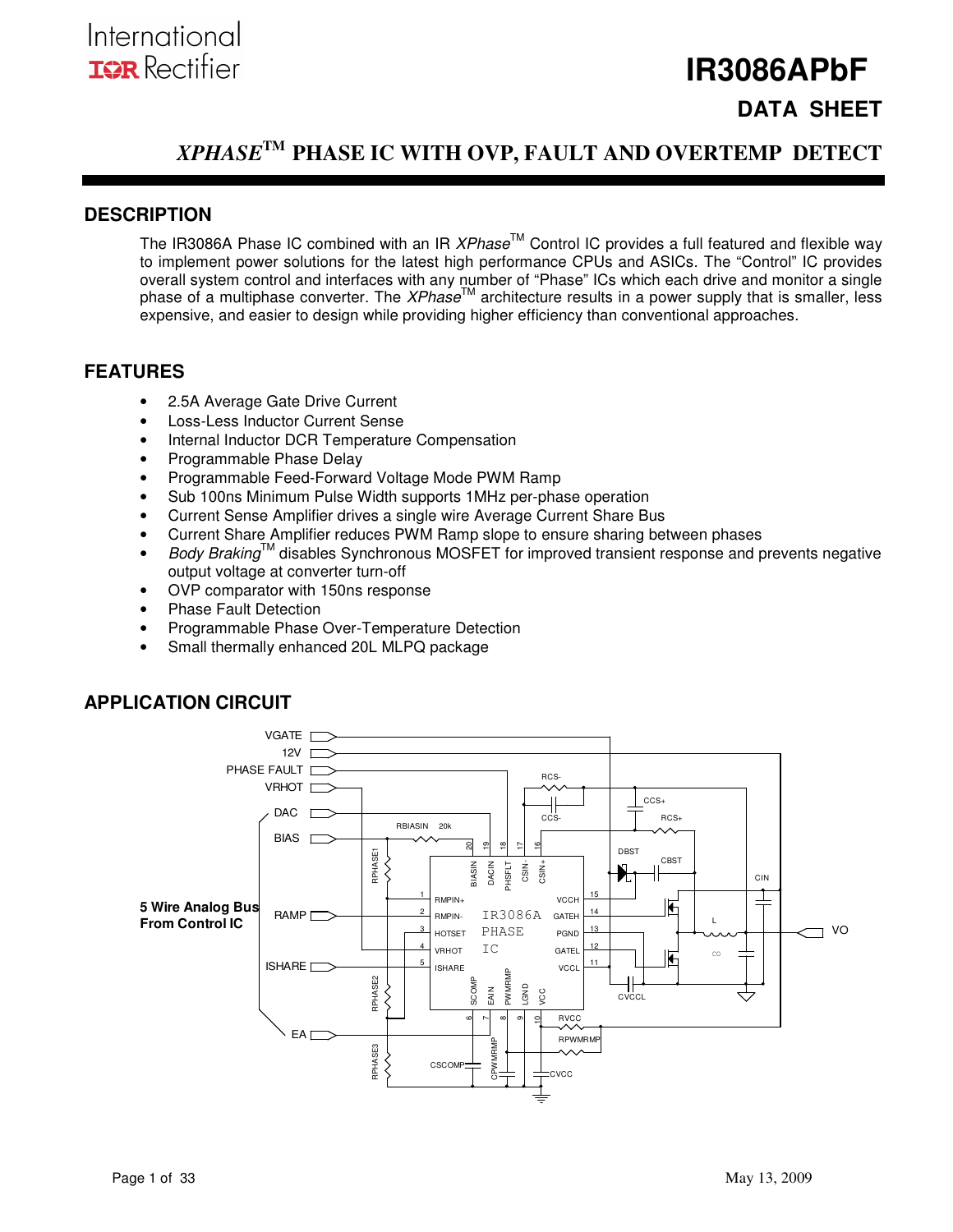## **IR3086APbF DATA SHEET**

## *XPHASE***TM PHASE IC WITH OVP, FAULT AND OVERTEMP DETECT**

### **DESCRIPTION**

The IR3086A Phase IC combined with an IR  $XPhase^{TM}$  Control IC provides a full featured and flexible way to implement power solutions for the latest high performance CPUs and ASICs. The "Control" IC provides overall system control and interfaces with any number of "Phase" ICs which each drive and monitor a single phase of a multiphase converter. The XPhase<sup>TM</sup> architecture results in a power supply that is smaller, less expensive, and easier to design while providing higher efficiency than conventional approaches.

### **FEATURES**

- 2.5A Average Gate Drive Current
- Loss-Less Inductor Current Sense
- Internal Inductor DCR Temperature Compensation
- Programmable Phase Delay
- Programmable Feed-Forward Voltage Mode PWM Ramp
- Sub 100ns Minimum Pulse Width supports 1MHz per-phase operation
- Current Sense Amplifier drives a single wire Average Current Share Bus
- Current Share Amplifier reduces PWM Ramp slope to ensure sharing between phases
- Body Braking<sup>TM</sup> disables Synchronous MOSFET for improved transient response and prevents negative output voltage at converter turn-off
- OVP comparator with 150ns response
- Phase Fault Detection
- Programmable Phase Over-Temperature Detection
- Small thermally enhanced 20L MLPQ package



## **APPLICATION CIRCUIT**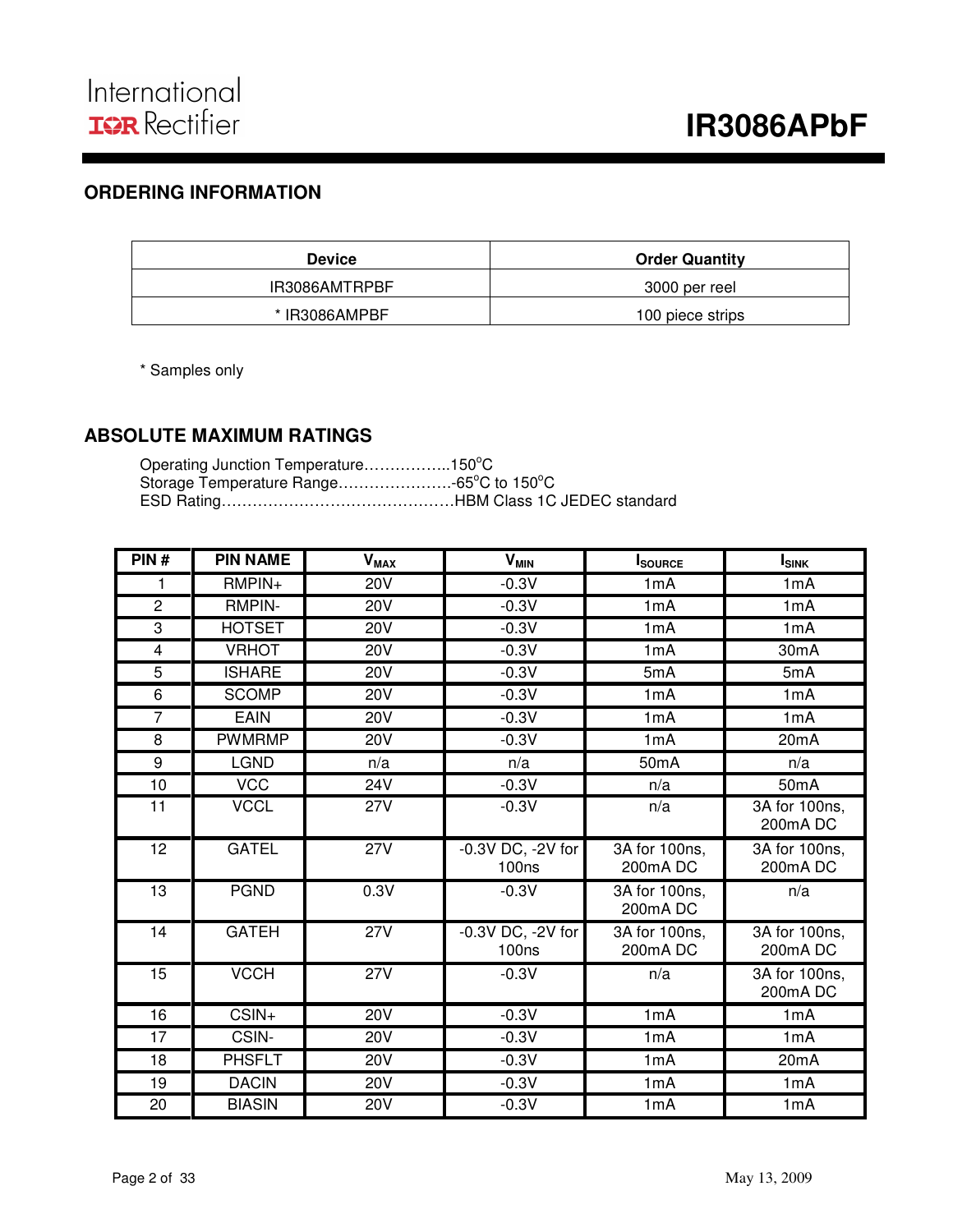## **ORDERING INFORMATION**

| <b>Device</b> | <b>Order Quantity</b> |
|---------------|-----------------------|
| IR3086AMTRPBF | 3000 per reel         |
| * IR3086AMPBF | 100 piece strips      |

\* Samples only

## **ABSOLUTE MAXIMUM RATINGS**

| Operating Junction Temperature150°C |  |
|-------------------------------------|--|
|                                     |  |
|                                     |  |

| PIN#           | <b>PIN NAME</b> | <b>V<sub>MAX</sub></b> | <b>V<sub>MIN</sub></b>     | <b>I</b> SOURCE           | $I_{SINK}$                             |
|----------------|-----------------|------------------------|----------------------------|---------------------------|----------------------------------------|
| 1              | $RMPIN+$        | <b>20V</b>             | $-0.3V$                    | 1mA                       | 1mA                                    |
| $\overline{2}$ | <b>RMPIN-</b>   | <b>20V</b>             | $-0.3V$                    | 1mA                       | 1mA                                    |
| 3              | <b>HOTSET</b>   | <b>20V</b>             | $-0.3V$                    | 1mA                       | 1mA                                    |
| 4              | <b>VRHOT</b>    | 20 <sub>V</sub>        | $-0.3V$                    | 1 <sub>m</sub> A          | 30mA                                   |
| 5              | <b>ISHARE</b>   | <b>20V</b>             | $-0.3V$                    | 5mA                       | 5mA                                    |
| 6              | <b>SCOMP</b>    | <b>20V</b>             | $-0.3V$                    | 1mA                       | 1mA                                    |
| $\overline{7}$ | <b>EAIN</b>     | <b>20V</b>             | $-0.3V$                    | 1mA                       | 1mA                                    |
| 8              | <b>PWMRMP</b>   | $\overline{20V}$       | $-0.3V$                    | 1mA                       | 20mA                                   |
| 9              | <b>LGND</b>     | n/a                    | n/a                        | 50 <sub>m</sub> A         | n/a                                    |
| 10             | <b>VCC</b>      | 24V                    | $-0.3V$                    | n/a                       | 50 <sub>m</sub> A                      |
| 11             | <b>VCCL</b>     | <b>27V</b>             | $-0.3V$                    | n/a                       | 3A for 100ns,<br>200mA DC              |
| 12             | <b>GATEL</b>    | 27V                    | -0.3V DC, -2V for<br>100ns | 3A for 100ns,<br>200mA DC | 3A for 100ns,<br>200mA DC              |
| 13             | <b>PGND</b>     | 0.3V                   | $-0.3V$                    | 3A for 100ns,<br>200mADC  | n/a                                    |
| 14             | <b>GATEH</b>    | 27V                    | -0.3V DC, -2V for<br>100ns | 3A for 100ns,<br>200mA DC | 3A for 100ns,<br>200mA DC              |
| 15             | <b>VCCH</b>     | 27V                    | $-0.3V$                    | n/a                       | $\overline{3A}$ for 100ns,<br>200mA DC |
| 16             | CSIN+           | <b>20V</b>             | $-0.3V$                    | 1mA                       | 1mA                                    |
| 17             | CSIN-           | <b>20V</b>             | $-0.3V$                    | 1mA                       | 1mA                                    |
| 18             | <b>PHSFLT</b>   | <b>20V</b>             | $-0.3V$                    | 1mA                       | 20 <sub>m</sub> A                      |
| 19             | <b>DACIN</b>    | <b>20V</b>             | $-0.3V$                    | 1mA                       | 1mA                                    |
| 20             | <b>BIASIN</b>   | 20V                    | $-0.3V$                    | 1mA                       | 1mA                                    |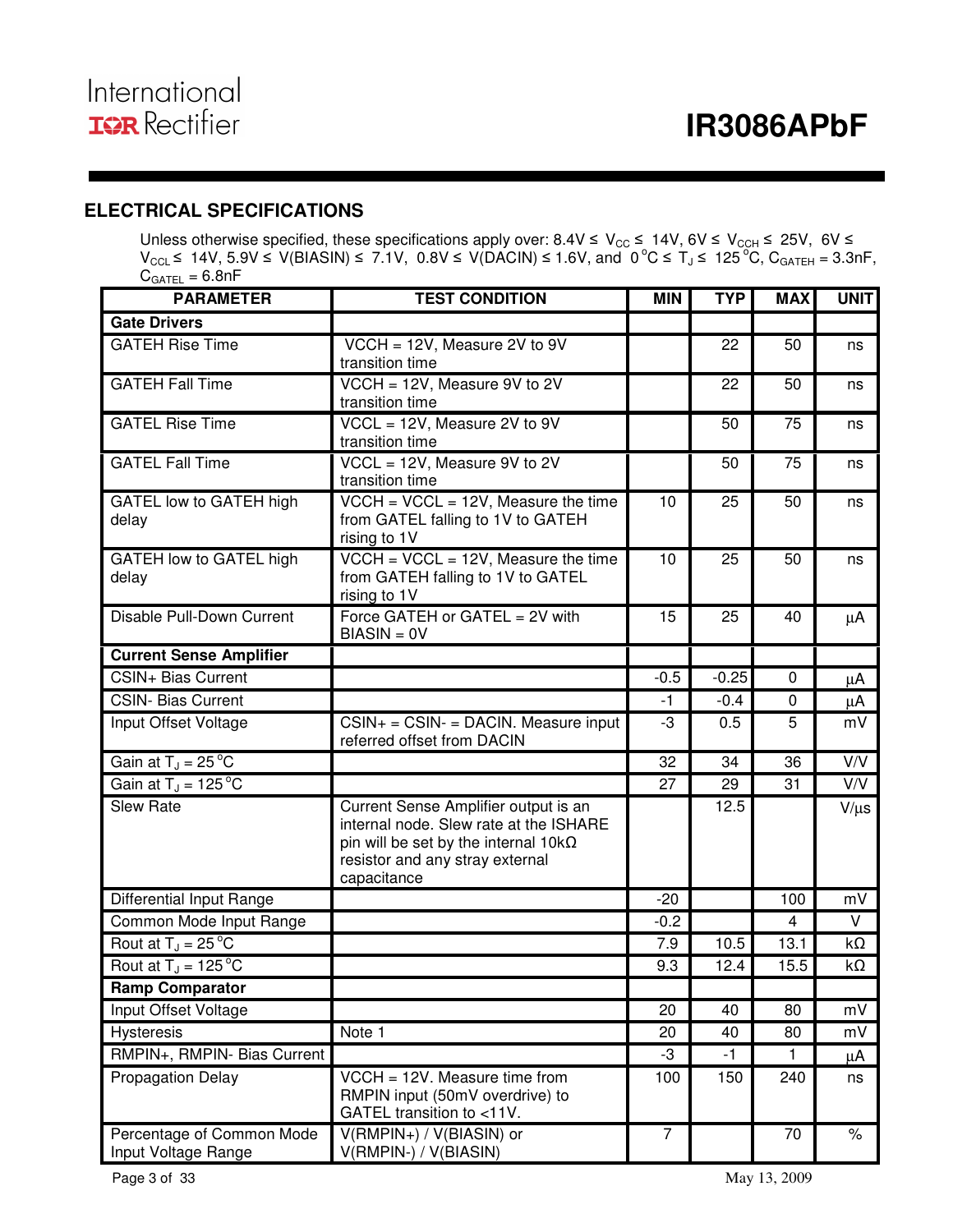## **ELECTRICAL SPECIFICATIONS**

Unless otherwise specified, these specifications apply over:  $8.4V \le V_{CC} \le 14V$ ,  $6V \le V_{CCH} \le 25V$ ,  $6V \le$  $V_{\text{CCL}}$  ≤ 14V, 5.9V ≤ V(BIASIN) ≤ 7.1V, 0.8V ≤ V(DACIN) ≤ 1.6V, and 0 °C ≤ T<sub>J</sub> ≤ 125 °C, C<sub>GATEH</sub> = 3.3nF,  $C_{GATEL} = 6.8nF$ 

| <b>PARAMETER</b>                                 | <b>TEST CONDITION</b>                                                                                                                                                            | <b>MIN</b>     | <b>TYP</b> | <b>MAX</b> | <b>UNIT</b> |
|--------------------------------------------------|----------------------------------------------------------------------------------------------------------------------------------------------------------------------------------|----------------|------------|------------|-------------|
| <b>Gate Drivers</b>                              |                                                                                                                                                                                  |                |            |            |             |
| <b>GATEH Rise Time</b>                           | VCCH = 12V, Measure 2V to 9V<br>transition time                                                                                                                                  |                | 22         | 50         | ns          |
| <b>GATEH Fall Time</b>                           | VCCH = 12V, Measure 9V to 2V<br>transition time                                                                                                                                  |                | 22         | 50         | ns          |
| <b>GATEL Rise Time</b>                           | $VCCL = 12V$ , Measure 2V to 9V<br>transition time                                                                                                                               |                | 50         | 75         | ns          |
| <b>GATEL Fall Time</b>                           | $VCCL = 12V$ , Measure 9V to 2V<br>transition time                                                                                                                               |                | 50         | 75         | ns          |
| GATEL low to GATEH high<br>delay                 | $\overline{VCCH}$ = $\overline{VCCL}$ = 12V, Measure the time<br>from GATEL falling to 1V to GATEH<br>rising to 1V                                                               | 10             | 25         | 50         | ns          |
| GATEH low to GATEL high<br>delay                 | $VCCH = VCCL = 12V$ , Measure the time<br>from GATEH falling to 1V to GATEL<br>rising to 1V                                                                                      | 10             | 25         | 50         | ns          |
| Disable Pull-Down Current                        | Force GATEH or GATEL = 2V with<br>$BIASIN = 0V$                                                                                                                                  | 15             | 25         | 40         | μA          |
| <b>Current Sense Amplifier</b>                   |                                                                                                                                                                                  |                |            |            |             |
| CSIN+ Bias Current                               |                                                                                                                                                                                  | $-0.5$         | $-0.25$    | 0          | μA          |
| <b>CSIN- Bias Current</b>                        |                                                                                                                                                                                  | -1             | $-0.4$     | 0          | μA          |
| Input Offset Voltage                             | $CSIN+ = CSIN- = DACIN. Measure input$<br>referred offset from DACIN                                                                                                             | -3             | 0.5        | 5          | mV          |
| Gain at $T_J = 25^{\circ}C$                      |                                                                                                                                                                                  | 32             | 34         | 36         | V/V         |
| Gain at $T_J = 125^{\circ}C$                     |                                                                                                                                                                                  | 27             | 29         | 31         | V/V         |
| <b>Slew Rate</b>                                 | Current Sense Amplifier output is an<br>internal node. Slew rate at the ISHARE<br>pin will be set by the internal 10k $\Omega$<br>resistor and any stray external<br>capacitance |                | 12.5       |            | $V/\mu s$   |
| Differential Input Range                         |                                                                                                                                                                                  | $-20$          |            | 100        | mV          |
| Common Mode Input Range                          |                                                                                                                                                                                  | $-0.2$         |            | 4          | V           |
| Rout at $T_J = 25$ °C                            |                                                                                                                                                                                  | 7.9            | 10.5       | 13.1       | kΩ          |
| Rout at $T_J = 125^{\circ}C$                     |                                                                                                                                                                                  | 9.3            | 12.4       | 15.5       | kΩ          |
| Ramp Comparator                                  |                                                                                                                                                                                  |                |            |            |             |
| Input Offset Voltage                             |                                                                                                                                                                                  | 20             | 40         | 80         | mV          |
| Hysteresis                                       | Note 1                                                                                                                                                                           | 20             | 40         | 80         | mV          |
| RMPIN+, RMPIN- Bias Current                      |                                                                                                                                                                                  | -3             | -1         | 1          | μA          |
| <b>Propagation Delay</b>                         | $VCCH = 12V$ . Measure time from<br>RMPIN input (50mV overdrive) to<br>GATEL transition to <11V.                                                                                 | 100            | 150        | 240        | ns          |
| Percentage of Common Mode<br>Input Voltage Range | V(RMPIN+) / V(BIASIN) or<br>V(RMPIN-) / V(BIASIN)                                                                                                                                | $\overline{7}$ |            | 70         | $\%$        |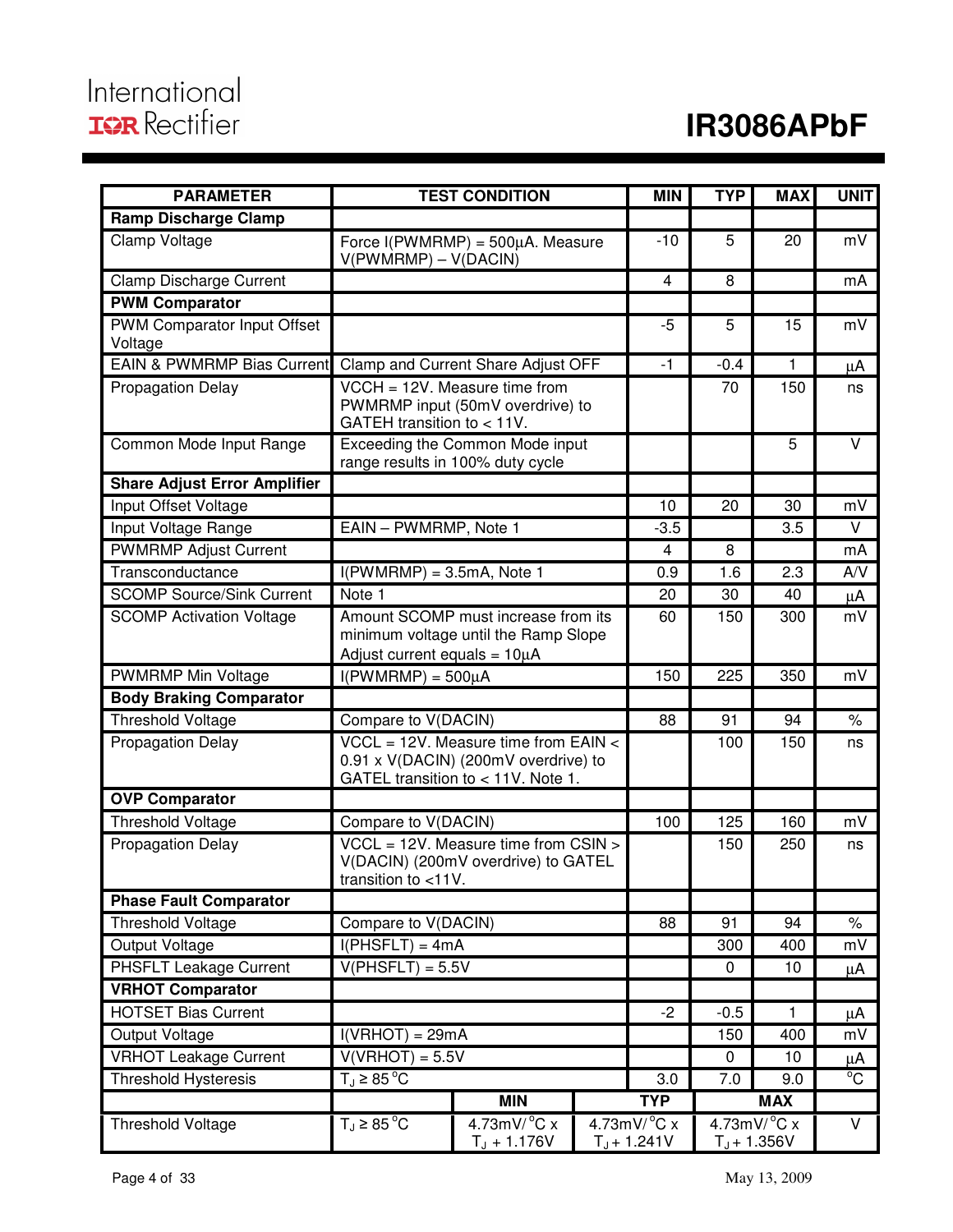# International **IOR** Rectifier

# **IR3086APbF**

| <b>PARAMETER</b>                       | <b>TEST CONDITION</b>                                                                                                |                                                                   |      | <b>MIN</b>                                    | <b>TYP</b>                                         | <b>MAX</b>   | <b>UNIT</b> |
|----------------------------------------|----------------------------------------------------------------------------------------------------------------------|-------------------------------------------------------------------|------|-----------------------------------------------|----------------------------------------------------|--------------|-------------|
| <b>Ramp Discharge Clamp</b>            |                                                                                                                      |                                                                   |      |                                               |                                                    |              |             |
| Clamp Voltage                          | Force $I(PWMRMP) = 500\mu A$ . Measure<br>$V(PWMRMP) - V(DACIN)$                                                     |                                                                   |      | $-10$                                         | 5                                                  | 20           | mV          |
| <b>Clamp Discharge Current</b>         |                                                                                                                      |                                                                   |      | $\overline{4}$                                | 8                                                  |              | mA          |
| <b>PWM Comparator</b>                  |                                                                                                                      |                                                                   |      |                                               |                                                    |              |             |
| PWM Comparator Input Offset<br>Voltage |                                                                                                                      |                                                                   |      | -5                                            | 5                                                  | 15           | mV          |
| EAIN & PWMRMP Bias Current             |                                                                                                                      | Clamp and Current Share Adjust OFF                                |      | $-1$                                          | $-0.4$                                             | 1            | μA          |
| <b>Propagation Delay</b>               | GATEH transition to $< 11V$ .                                                                                        | VCCH = 12V. Measure time from<br>PWMRMP input (50mV overdrive) to |      |                                               | 70                                                 | 150          | ns          |
| Common Mode Input Range                | range results in 100% duty cycle                                                                                     | Exceeding the Common Mode input                                   |      |                                               |                                                    | 5            | $\vee$      |
| <b>Share Adjust Error Amplifier</b>    |                                                                                                                      |                                                                   |      |                                               |                                                    |              |             |
| Input Offset Voltage                   |                                                                                                                      |                                                                   |      | 10                                            | 20                                                 | 30           | mV          |
| Input Voltage Range                    | EAIN - PWMRMP, Note 1                                                                                                |                                                                   |      | $-3.5$                                        |                                                    | 3.5          | V           |
| <b>PWMRMP Adjust Current</b>           |                                                                                                                      |                                                                   |      | 4                                             | 8                                                  |              | mA          |
| Transconductance                       | $I(PWMRMP) = 3.5mA$ , Note 1                                                                                         |                                                                   |      | 0.9                                           | 1.6                                                | 2.3          | A/V         |
| <b>SCOMP Source/Sink Current</b>       | Note 1                                                                                                               |                                                                   |      | 20                                            | 30                                                 | 40           | μA          |
| <b>SCOMP Activation Voltage</b>        | Amount SCOMP must increase from its<br>minimum voltage until the Ramp Slope<br>Adjust current equals = $10\mu$ A     |                                                                   | 60   | 150                                           | 300                                                | mV           |             |
| <b>PWMRMP Min Voltage</b>              | $I(PWMRMP) = 500\mu A$                                                                                               |                                                                   |      | 150                                           | 225                                                | 350          | mV          |
| <b>Body Braking Comparator</b>         |                                                                                                                      |                                                                   |      |                                               |                                                    |              |             |
| <b>Threshold Voltage</b>               | Compare to V(DACIN)                                                                                                  |                                                                   |      | 88                                            | 91                                                 | 94           | $\%$        |
| <b>Propagation Delay</b>               | $VCL = 12V$ . Measure time from EAIN <<br>0.91 x V(DACIN) (200mV overdrive) to<br>GATEL transition to < 11V. Note 1. |                                                                   |      | 100                                           | 150                                                | ns           |             |
| <b>OVP Comparator</b>                  |                                                                                                                      |                                                                   |      |                                               |                                                    |              |             |
| <b>Threshold Voltage</b>               | Compare to V(DACIN)                                                                                                  |                                                                   |      | 100                                           | 125                                                | 160          | mV          |
| <b>Propagation Delay</b>               | $VCL = 12V$ . Measure time from $CSIN >$<br>V(DACIN) (200mV overdrive) to GATEL<br>transition to $<$ 11V.            |                                                                   |      | 150                                           | 250                                                | ns           |             |
| <b>Phase Fault Comparator</b>          |                                                                                                                      |                                                                   |      |                                               |                                                    |              |             |
| <b>Threshold Voltage</b>               | Compare to V(DACIN)                                                                                                  |                                                                   |      | 88                                            | 91                                                 | 94           | $\%$        |
| <b>Output Voltage</b>                  | $I(PHSET) = 4mA$                                                                                                     |                                                                   |      |                                               | 300                                                | 400          | mV          |
| <b>PHSFLT Leakage Current</b>          | $V(PHSET) = 5.5V$                                                                                                    |                                                                   |      | $\mathbf 0$                                   | 10                                                 | μA           |             |
| <b>VRHOT Comparator</b>                |                                                                                                                      |                                                                   |      |                                               |                                                    |              |             |
| <b>HOTSET Bias Current</b>             |                                                                                                                      |                                                                   | $-2$ | $-0.5$                                        | $\mathbf{1}$                                       | μA           |             |
| <b>Output Voltage</b>                  | $I(VRHOT) = 29mA$                                                                                                    |                                                                   |      |                                               | 150                                                | 400          | mV          |
| <b>VRHOT Leakage Current</b>           | $V(VRHOT) = 5.5V$                                                                                                    |                                                                   |      |                                               | 0                                                  | 10           | μA          |
| <b>Threshold Hysteresis</b>            | $T_{\text{d}} \geq 85^{\circ}$ C                                                                                     |                                                                   | 3.0  | 7.0                                           | 9.0                                                | $^{\circ}$ C |             |
|                                        |                                                                                                                      | <b>MIN</b>                                                        |      | <b>TYP</b>                                    |                                                    | <b>MAX</b>   |             |
| <b>Threshold Voltage</b>               | $T_J \geq 85^{\circ}$ C                                                                                              | $4.73$ mV/ $^{\circ}$ C x<br>$T_J + 1.176V$                       |      | $4.73$ mV/ $^{\circ}$ C x<br>$T_{J}$ + 1.241V | $4.73m\overline{V/^{\circ}C}x$<br>$T_{J}$ + 1.356V |              | V           |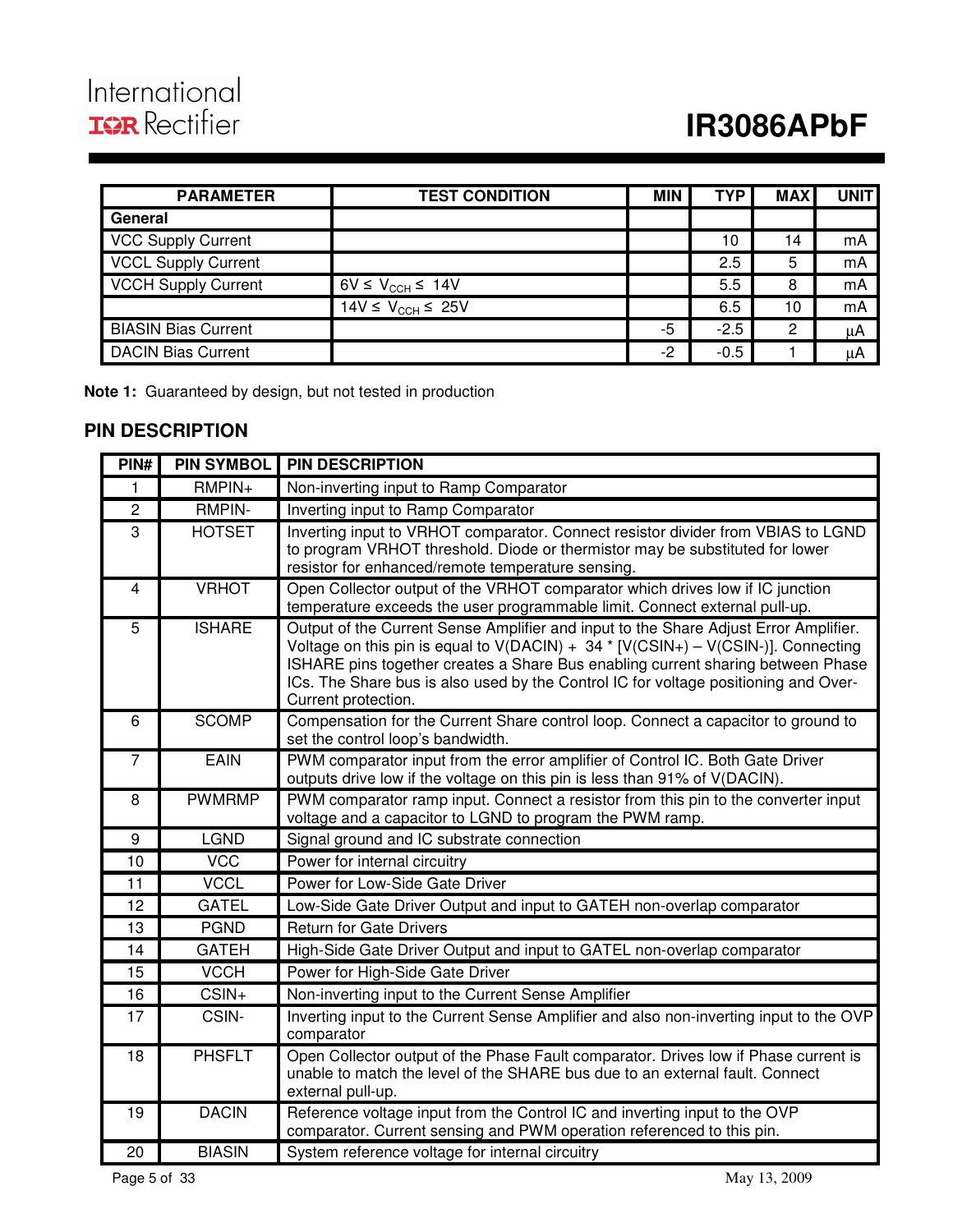# **IR3086APbF**

| <b>PARAMETER</b>           | <b>TEST CONDITION</b>                  | <b>MIN</b> | <b>TYP</b> | <b>MAX</b> | UNIT |
|----------------------------|----------------------------------------|------------|------------|------------|------|
| General                    |                                        |            |            |            |      |
| <b>VCC Supply Current</b>  |                                        |            | 10         | 14         | mA   |
| <b>VCCL Supply Current</b> |                                        |            | 2.5        | 5          | mA   |
| <b>VCCH Supply Current</b> | $6V \leq V_{\text{CCH}} \leq 14V$      |            | 5.5        | 8          | mA   |
|                            | 14V $\leq$ V <sub>CCH</sub> $\leq$ 25V |            | 6.5        | 10         | mA   |
| <b>BIASIN Bias Current</b> |                                        | -5         | $-2.5$     | 2          | μA   |
| <b>DACIN Bias Current</b>  |                                        | $-2$       | $-0.5$     |            | μA   |

**Note 1:** Guaranteed by design, but not tested in production

## **PIN DESCRIPTION**

| PIN#           | <b>PIN SYMBOL</b> | <b>PIN DESCRIPTION</b>                                                                                                                                                                                                                                                                                                                                                       |
|----------------|-------------------|------------------------------------------------------------------------------------------------------------------------------------------------------------------------------------------------------------------------------------------------------------------------------------------------------------------------------------------------------------------------------|
| 1              | $RMPIN+$          | Non-inverting input to Ramp Comparator                                                                                                                                                                                                                                                                                                                                       |
| $\overline{2}$ | <b>RMPIN-</b>     | Inverting input to Ramp Comparator                                                                                                                                                                                                                                                                                                                                           |
| $\overline{3}$ | <b>HOTSET</b>     | Inverting input to VRHOT comparator. Connect resistor divider from VBIAS to LGND<br>to program VRHOT threshold. Diode or thermistor may be substituted for lower<br>resistor for enhanced/remote temperature sensing.                                                                                                                                                        |
| $\overline{4}$ | <b>VRHOT</b>      | Open Collector output of the VRHOT comparator which drives low if IC junction<br>temperature exceeds the user programmable limit. Connect external pull-up.                                                                                                                                                                                                                  |
| $\overline{5}$ | <b>ISHARE</b>     | Output of the Current Sense Amplifier and input to the Share Adjust Error Amplifier.<br>Voltage on this pin is equal to $V(DACIN) + 34 * [V(CSIN+) - V(CSIN-)].$ Connecting<br>ISHARE pins together creates a Share Bus enabling current sharing between Phase<br>ICs. The Share bus is also used by the Control IC for voltage positioning and Over-<br>Current protection. |
| 6              | <b>SCOMP</b>      | Compensation for the Current Share control loop. Connect a capacitor to ground to<br>set the control loop's bandwidth.                                                                                                                                                                                                                                                       |
| $\overline{7}$ | <b>EAIN</b>       | PWM comparator input from the error amplifier of Control IC. Both Gate Driver<br>outputs drive low if the voltage on this pin is less than 91% of V(DACIN).                                                                                                                                                                                                                  |
| 8              | <b>PWMRMP</b>     | PWM comparator ramp input. Connect a resistor from this pin to the converter input<br>voltage and a capacitor to LGND to program the PWM ramp.                                                                                                                                                                                                                               |
| 9              | <b>LGND</b>       | Signal ground and IC substrate connection                                                                                                                                                                                                                                                                                                                                    |
| 10             | <b>VCC</b>        | Power for internal circuitry                                                                                                                                                                                                                                                                                                                                                 |
| 11             | <b>VCCL</b>       | Power for Low-Side Gate Driver                                                                                                                                                                                                                                                                                                                                               |
| 12             | <b>GATEL</b>      | Low-Side Gate Driver Output and input to GATEH non-overlap comparator                                                                                                                                                                                                                                                                                                        |
| 13             | <b>PGND</b>       | <b>Return for Gate Drivers</b>                                                                                                                                                                                                                                                                                                                                               |
| 14             | <b>GATEH</b>      | High-Side Gate Driver Output and input to GATEL non-overlap comparator                                                                                                                                                                                                                                                                                                       |
| 15             | <b>VCCH</b>       | Power for High-Side Gate Driver                                                                                                                                                                                                                                                                                                                                              |
| 16             | CSIN+             | Non-inverting input to the Current Sense Amplifier                                                                                                                                                                                                                                                                                                                           |
| 17             | CSIN-             | Inverting input to the Current Sense Amplifier and also non-inverting input to the OVP<br>comparator                                                                                                                                                                                                                                                                         |
| 18             | <b>PHSFLT</b>     | Open Collector output of the Phase Fault comparator. Drives low if Phase current is<br>unable to match the level of the SHARE bus due to an external fault. Connect<br>external pull-up.                                                                                                                                                                                     |
| 19             | <b>DACIN</b>      | Reference voltage input from the Control IC and inverting input to the OVP<br>comparator. Current sensing and PWM operation referenced to this pin.                                                                                                                                                                                                                          |
| 20             | <b>BIASIN</b>     | System reference voltage for internal circuitry                                                                                                                                                                                                                                                                                                                              |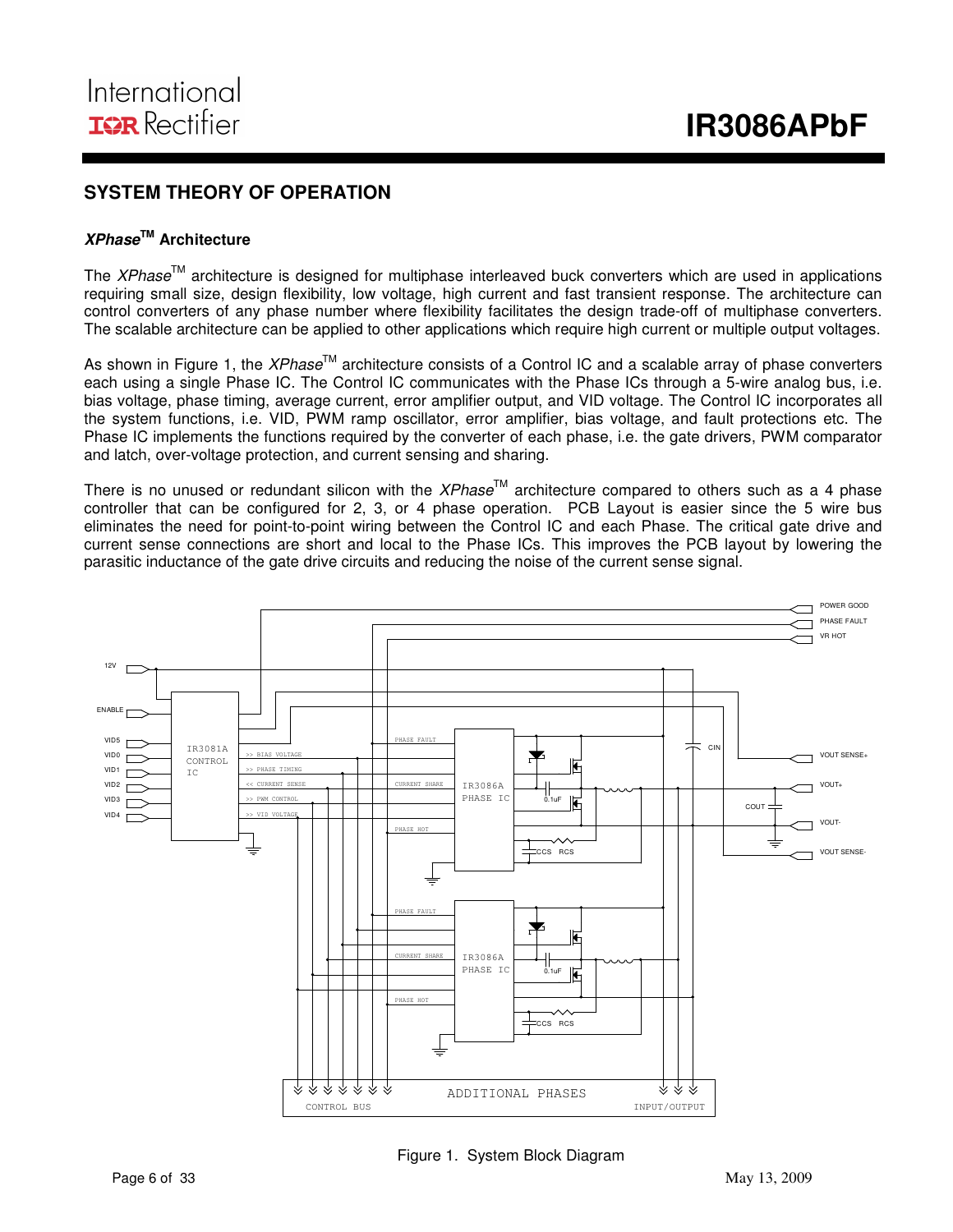### **SYSTEM THEORY OF OPERATION**

#### **XPhaseTM Architecture**

The XPhase<sup>TM</sup> architecture is designed for multiphase interleaved buck converters which are used in applications requiring small size, design flexibility, low voltage, high current and fast transient response. The architecture can control converters of any phase number where flexibility facilitates the design trade-off of multiphase converters. The scalable architecture can be applied to other applications which require high current or multiple output voltages.

As shown in Figure 1, the *XPhase*<sup>TM</sup> architecture consists of a Control IC and a scalable array of phase converters each using a single Phase IC. The Control IC communicates with the Phase ICs through a 5-wire analog bus, i.e. bias voltage, phase timing, average current, error amplifier output, and VID voltage. The Control IC incorporates all the system functions, i.e. VID, PWM ramp oscillator, error amplifier, bias voltage, and fault protections etc. The Phase IC implements the functions required by the converter of each phase, i.e. the gate drivers, PWM comparator and latch, over-voltage protection, and current sensing and sharing.

There is no unused or redundant silicon with the XPhase<sup>TM</sup> architecture compared to others such as a 4 phase controller that can be configured for 2, 3, or 4 phase operation. PCB Layout is easier since the 5 wire bus eliminates the need for point-to-point wiring between the Control IC and each Phase. The critical gate drive and current sense connections are short and local to the Phase ICs. This improves the PCB layout by lowering the parasitic inductance of the gate drive circuits and reducing the noise of the current sense signal.



Figure 1. System Block Diagram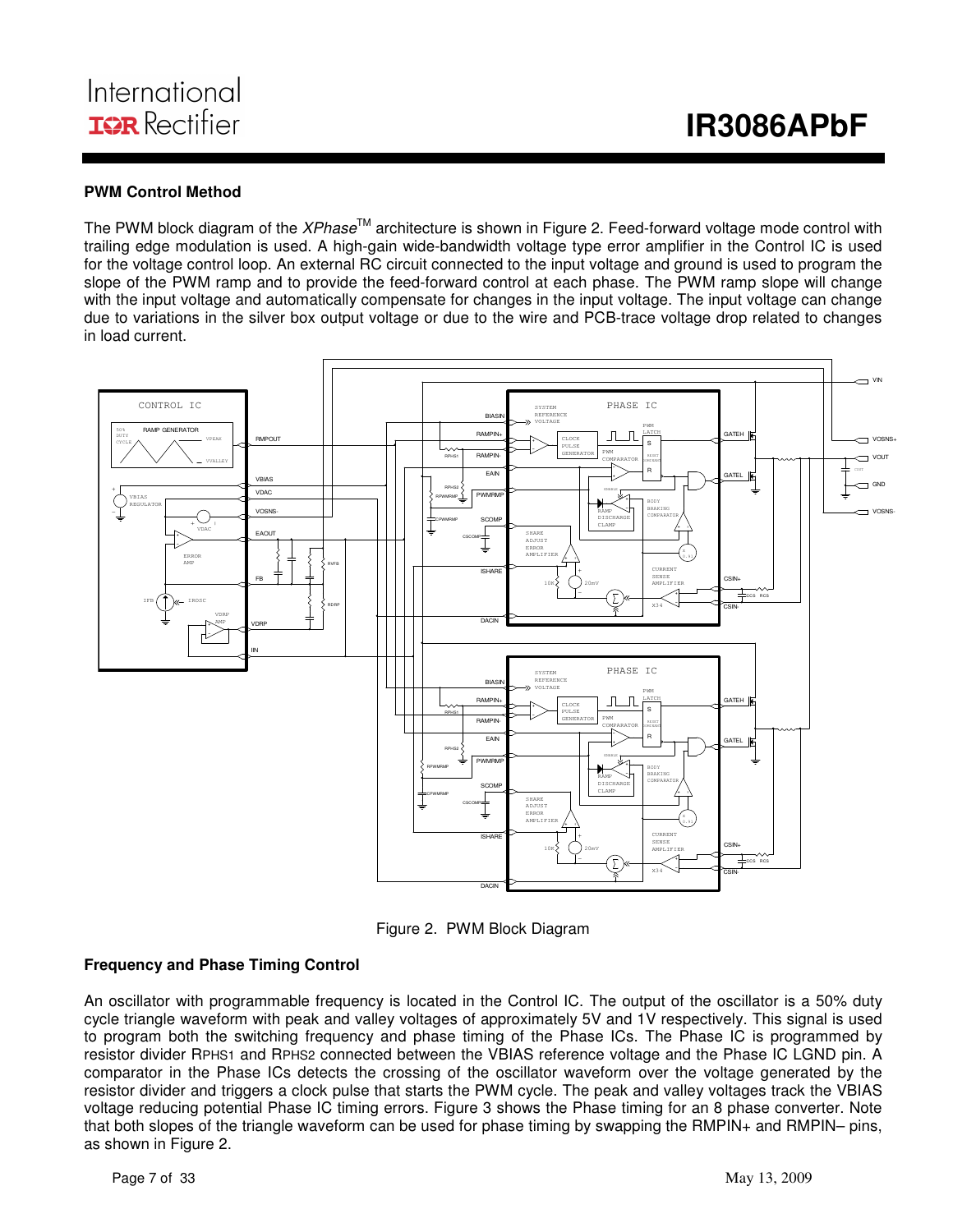#### **PWM Control Method**

The PWM block diagram of the *XPhase*<sup>TM</sup> architecture is shown in Figure 2. Feed-forward voltage mode control with trailing edge modulation is used. A high-gain wide-bandwidth voltage type error amplifier in the Control IC is used for the voltage control loop. An external RC circuit connected to the input voltage and ground is used to program the slope of the PWM ramp and to provide the feed-forward control at each phase. The PWM ramp slope will change with the input voltage and automatically compensate for changes in the input voltage. The input voltage can change due to variations in the silver box output voltage or due to the wire and PCB-trace voltage drop related to changes in load current.



Figure 2. PWM Block Diagram

#### **Frequency and Phase Timing Control**

An oscillator with programmable frequency is located in the Control IC. The output of the oscillator is a 50% duty cycle triangle waveform with peak and valley voltages of approximately 5V and 1V respectively. This signal is used to program both the switching frequency and phase timing of the Phase ICs. The Phase IC is programmed by resistor divider RPHS1 and RPHS2 connected between the VBIAS reference voltage and the Phase IC LGND pin. A comparator in the Phase ICs detects the crossing of the oscillator waveform over the voltage generated by the resistor divider and triggers a clock pulse that starts the PWM cycle. The peak and valley voltages track the VBIAS voltage reducing potential Phase IC timing errors. Figure 3 shows the Phase timing for an 8 phase converter. Note that both slopes of the triangle waveform can be used for phase timing by swapping the RMPIN+ and RMPIN– pins, as shown in Figure 2.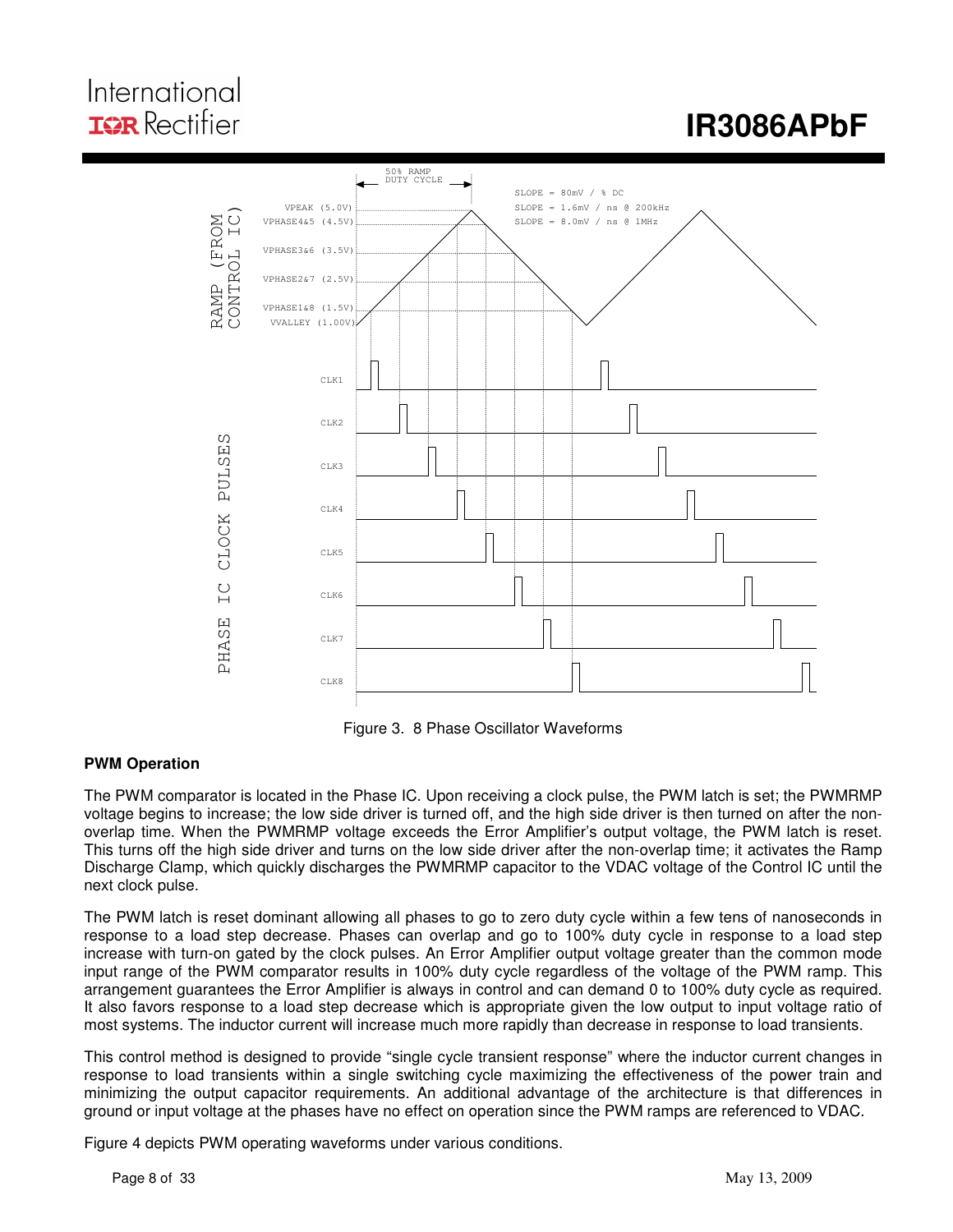## International **IOR** Rectifier

# **IR3086APbF**



Figure 3. 8 Phase Oscillator Waveforms

### **PWM Operation**

The PWM comparator is located in the Phase IC. Upon receiving a clock pulse, the PWM latch is set; the PWMRMP voltage begins to increase; the low side driver is turned off, and the high side driver is then turned on after the nonoverlap time. When the PWMRMP voltage exceeds the Error Amplifier's output voltage, the PWM latch is reset. This turns off the high side driver and turns on the low side driver after the non-overlap time; it activates the Ramp Discharge Clamp, which quickly discharges the PWMRMP capacitor to the VDAC voltage of the Control IC until the next clock pulse.

The PWM latch is reset dominant allowing all phases to go to zero duty cycle within a few tens of nanoseconds in response to a load step decrease. Phases can overlap and go to 100% duty cycle in response to a load step increase with turn-on gated by the clock pulses. An Error Amplifier output voltage greater than the common mode input range of the PWM comparator results in 100% duty cycle regardless of the voltage of the PWM ramp. This arrangement guarantees the Error Amplifier is always in control and can demand 0 to 100% duty cycle as required. It also favors response to a load step decrease which is appropriate given the low output to input voltage ratio of most systems. The inductor current will increase much more rapidly than decrease in response to load transients.

This control method is designed to provide "single cycle transient response" where the inductor current changes in response to load transients within a single switching cycle maximizing the effectiveness of the power train and minimizing the output capacitor requirements. An additional advantage of the architecture is that differences in ground or input voltage at the phases have no effect on operation since the PWM ramps are referenced to VDAC.

Figure 4 depicts PWM operating waveforms under various conditions.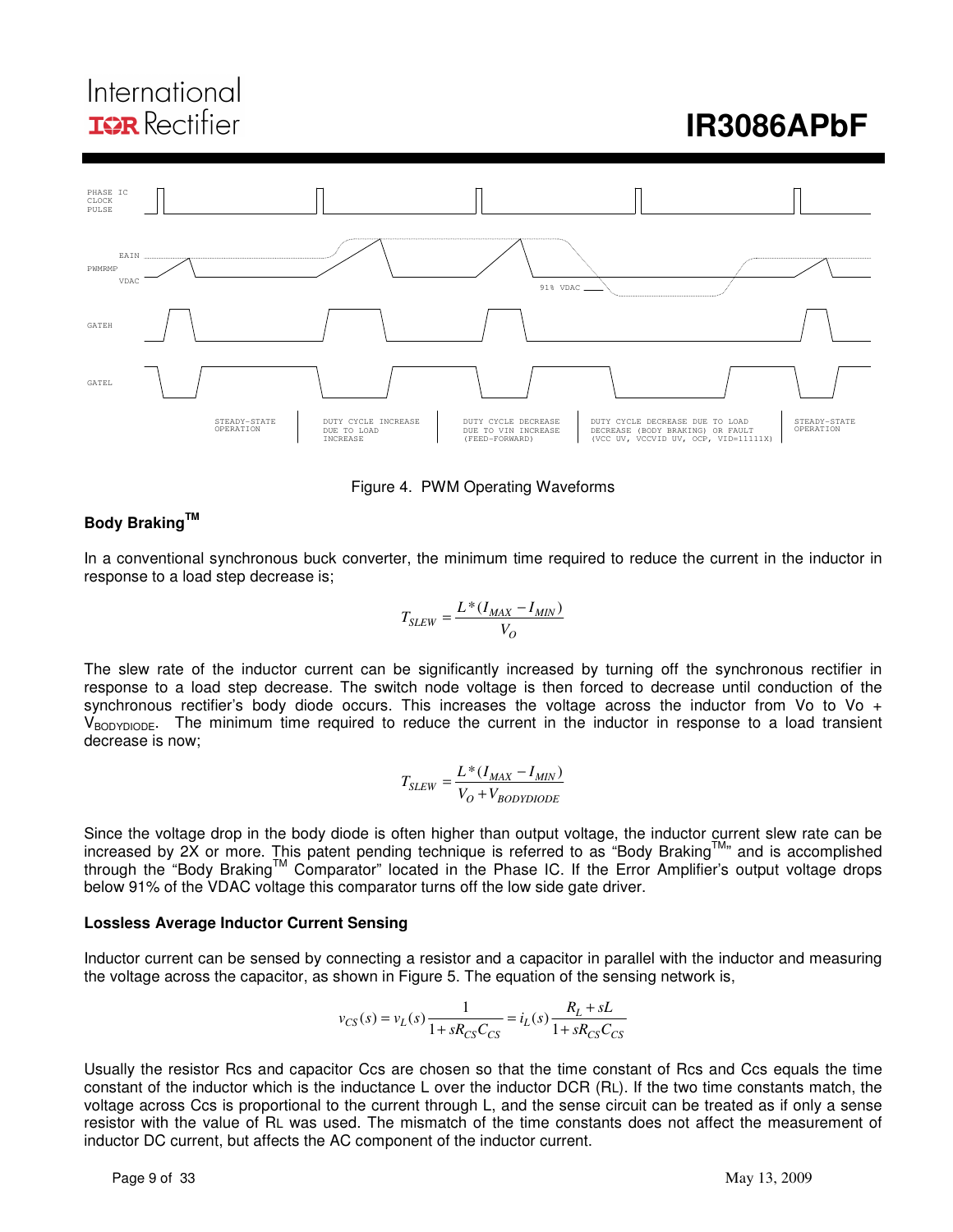## International **IOR** Rectifier

# **IR3086APbF**



Figure 4. PWM Operating Waveforms

### **Body BrakingTM**

In a conventional synchronous buck converter, the minimum time required to reduce the current in the inductor in response to a load step decrease is;

$$
T_{SLEW} = \frac{L*(I_{MAX} - I_{MIN})}{V_O}
$$

The slew rate of the inductor current can be significantly increased by turning off the synchronous rectifier in response to a load step decrease. The switch node voltage is then forced to decrease until conduction of the synchronous rectifier's body diode occurs. This increases the voltage across the inductor from Vo to Vo  $+$ VBODYDIODE. The minimum time required to reduce the current in the inductor in response to a load transient decrease is now;

$$
T_{SLEW} = \frac{L*(I_{MAX} - I_{MIN})}{V_O + V_{BODYDIODE}}
$$

Since the voltage drop in the body diode is often higher than output voltage, the inductor current slew rate can be increased by 2X or more. This patent pending technique is referred to as "Body Braking™" and is accomplished through the "Body Braking™ Comparator" located in the Phase IC. If the Error Amplifier's output voltage drops below 91% of the VDAC voltage this comparator turns off the low side gate driver.

#### **Lossless Average Inductor Current Sensing**

Inductor current can be sensed by connecting a resistor and a capacitor in parallel with the inductor and measuring the voltage across the capacitor, as shown in Figure 5. The equation of the sensing network is,

$$
v_{CS}(s) = v_L(s) \frac{1}{1 + sR_{CS}C_{CS}} = i_L(s) \frac{R_L + sL}{1 + sR_{CS}C_{CS}}
$$

Usually the resistor Rcs and capacitor Ccs are chosen so that the time constant of Rcs and Ccs equals the time constant of the inductor which is the inductance L over the inductor DCR (RL). If the two time constants match, the voltage across Ccs is proportional to the current through L, and the sense circuit can be treated as if only a sense resistor with the value of RL was used. The mismatch of the time constants does not affect the measurement of inductor DC current, but affects the AC component of the inductor current.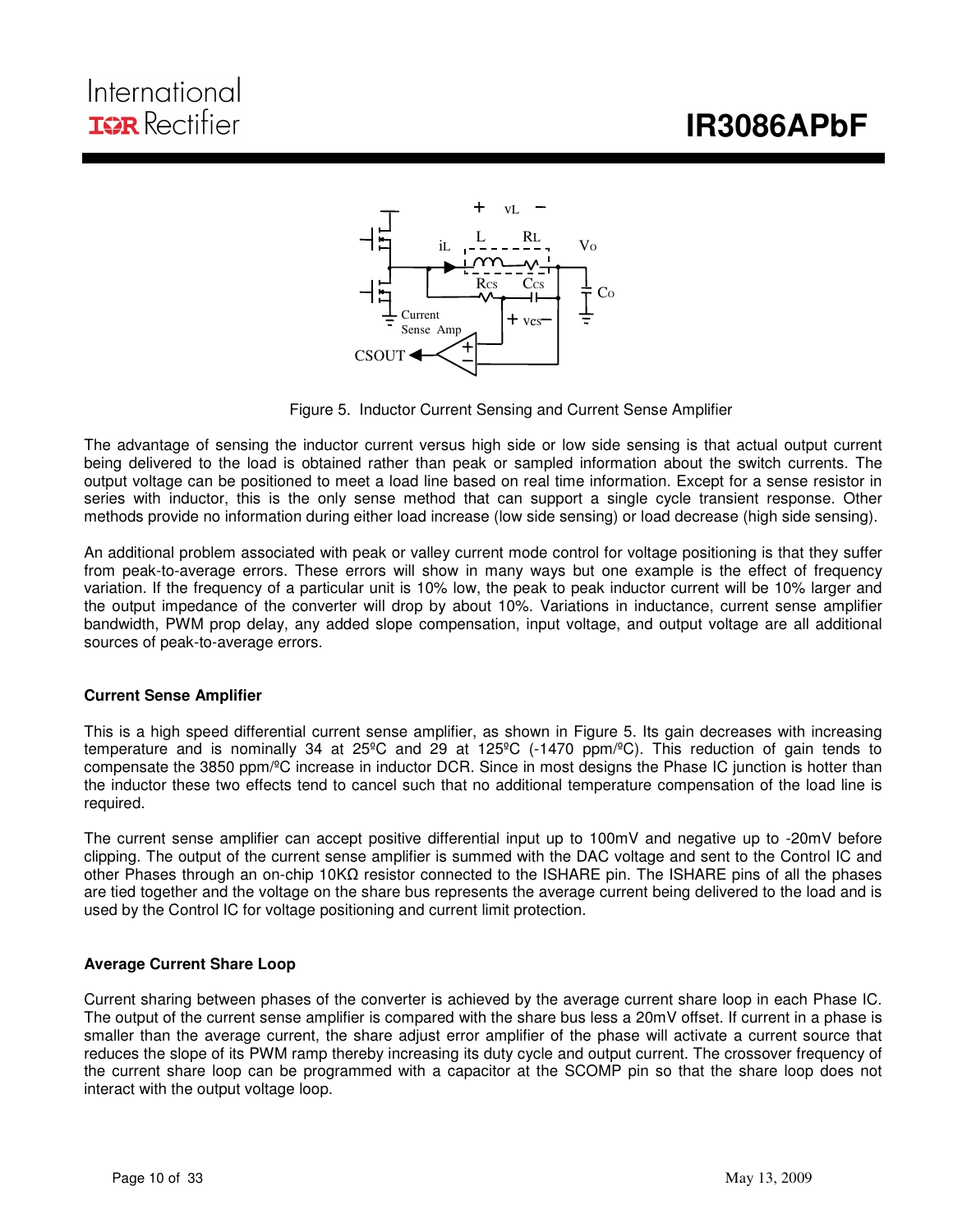# **IR3086APbF**

## International **IOR** Rectifier



Figure 5. Inductor Current Sensing and Current Sense Amplifier

The advantage of sensing the inductor current versus high side or low side sensing is that actual output current being delivered to the load is obtained rather than peak or sampled information about the switch currents. The output voltage can be positioned to meet a load line based on real time information. Except for a sense resistor in series with inductor, this is the only sense method that can support a single cycle transient response. Other methods provide no information during either load increase (low side sensing) or load decrease (high side sensing).

An additional problem associated with peak or valley current mode control for voltage positioning is that they suffer from peak-to-average errors. These errors will show in many ways but one example is the effect of frequency variation. If the frequency of a particular unit is 10% low, the peak to peak inductor current will be 10% larger and the output impedance of the converter will drop by about 10%. Variations in inductance, current sense amplifier bandwidth, PWM prop delay, any added slope compensation, input voltage, and output voltage are all additional sources of peak-to-average errors.

#### **Current Sense Amplifier**

This is a high speed differential current sense amplifier, as shown in Figure 5. Its gain decreases with increasing temperature and is nominally 34 at 25ºC and 29 at 125ºC (-1470 ppm/ºC). This reduction of gain tends to compensate the 3850 ppm/ºC increase in inductor DCR. Since in most designs the Phase IC junction is hotter than the inductor these two effects tend to cancel such that no additional temperature compensation of the load line is required.

The current sense amplifier can accept positive differential input up to 100mV and negative up to -20mV before clipping. The output of the current sense amplifier is summed with the DAC voltage and sent to the Control IC and other Phases through an on-chip 10KΩ resistor connected to the ISHARE pin. The ISHARE pins of all the phases are tied together and the voltage on the share bus represents the average current being delivered to the load and is used by the Control IC for voltage positioning and current limit protection.

#### **Average Current Share Loop**

Current sharing between phases of the converter is achieved by the average current share loop in each Phase IC. The output of the current sense amplifier is compared with the share bus less a 20mV offset. If current in a phase is smaller than the average current, the share adjust error amplifier of the phase will activate a current source that reduces the slope of its PWM ramp thereby increasing its duty cycle and output current. The crossover frequency of the current share loop can be programmed with a capacitor at the SCOMP pin so that the share loop does not interact with the output voltage loop.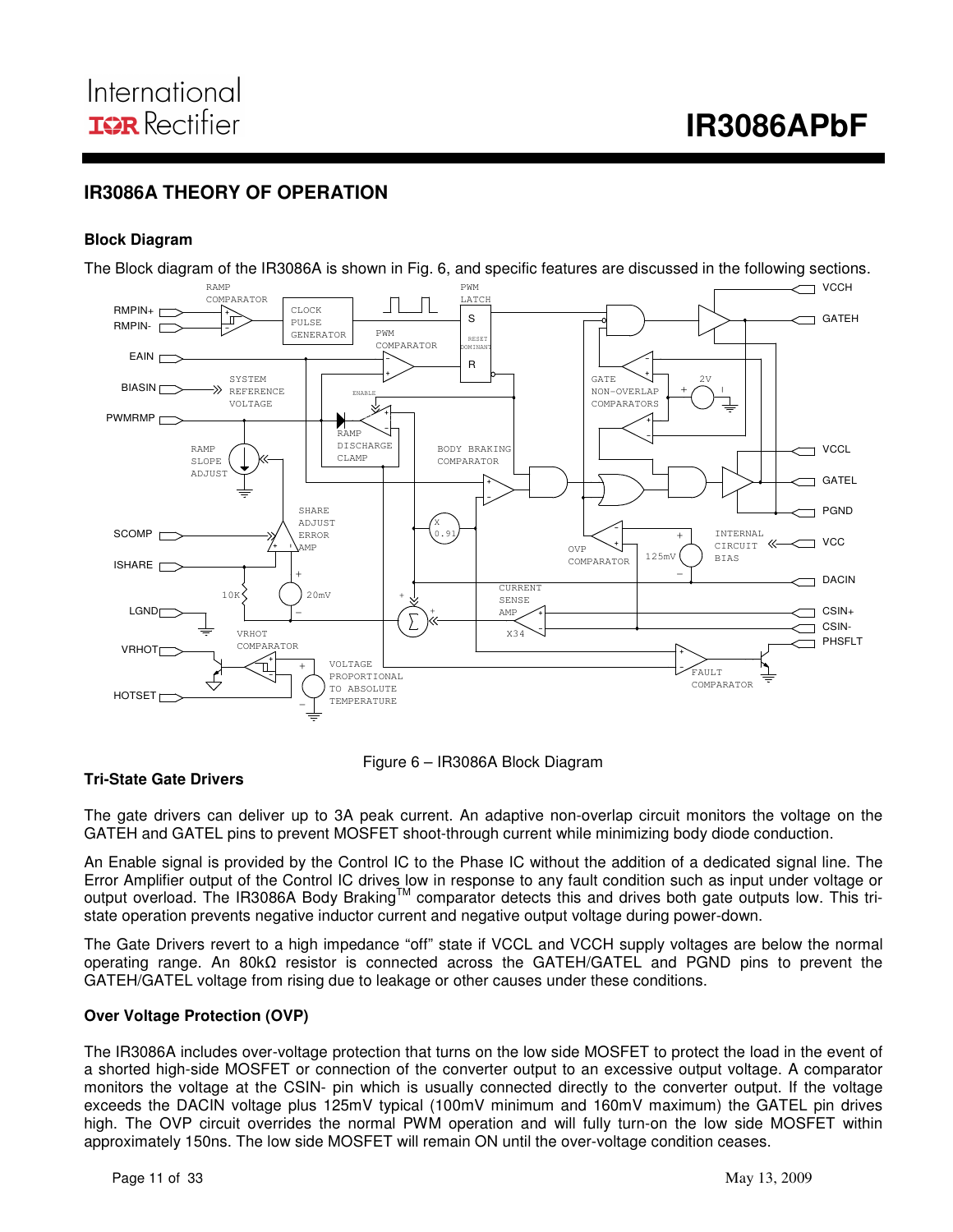## **IR3086A THEORY OF OPERATION**

#### **Block Diagram**

The Block diagram of the IR3086A is shown in Fig. 6, and specific features are discussed in the following sections.

i





#### **Tri-State Gate Drivers**

The gate drivers can deliver up to 3A peak current. An adaptive non-overlap circuit monitors the voltage on the GATEH and GATEL pins to prevent MOSFET shoot-through current while minimizing body diode conduction.

An Enable signal is provided by the Control IC to the Phase IC without the addition of a dedicated signal line. The Error Amplifier output of the Control IC drives low in response to any fault condition such as input under voltage or output overload. The IR3086A Body Braking™ comparator detects this and drives both gate outputs low. This tristate operation prevents negative inductor current and negative output voltage during power-down.

The Gate Drivers revert to a high impedance "off" state if VCCL and VCCH supply voltages are below the normal operating range. An 80kΩ resistor is connected across the GATEH/GATEL and PGND pins to prevent the GATEH/GATEL voltage from rising due to leakage or other causes under these conditions.

#### **Over Voltage Protection (OVP)**

The IR3086A includes over-voltage protection that turns on the low side MOSFET to protect the load in the event of a shorted high-side MOSFET or connection of the converter output to an excessive output voltage. A comparator monitors the voltage at the CSIN- pin which is usually connected directly to the converter output. If the voltage exceeds the DACIN voltage plus 125mV typical (100mV minimum and 160mV maximum) the GATEL pin drives high. The OVP circuit overrides the normal PWM operation and will fully turn-on the low side MOSFET within approximately 150ns. The low side MOSFET will remain ON until the over-voltage condition ceases.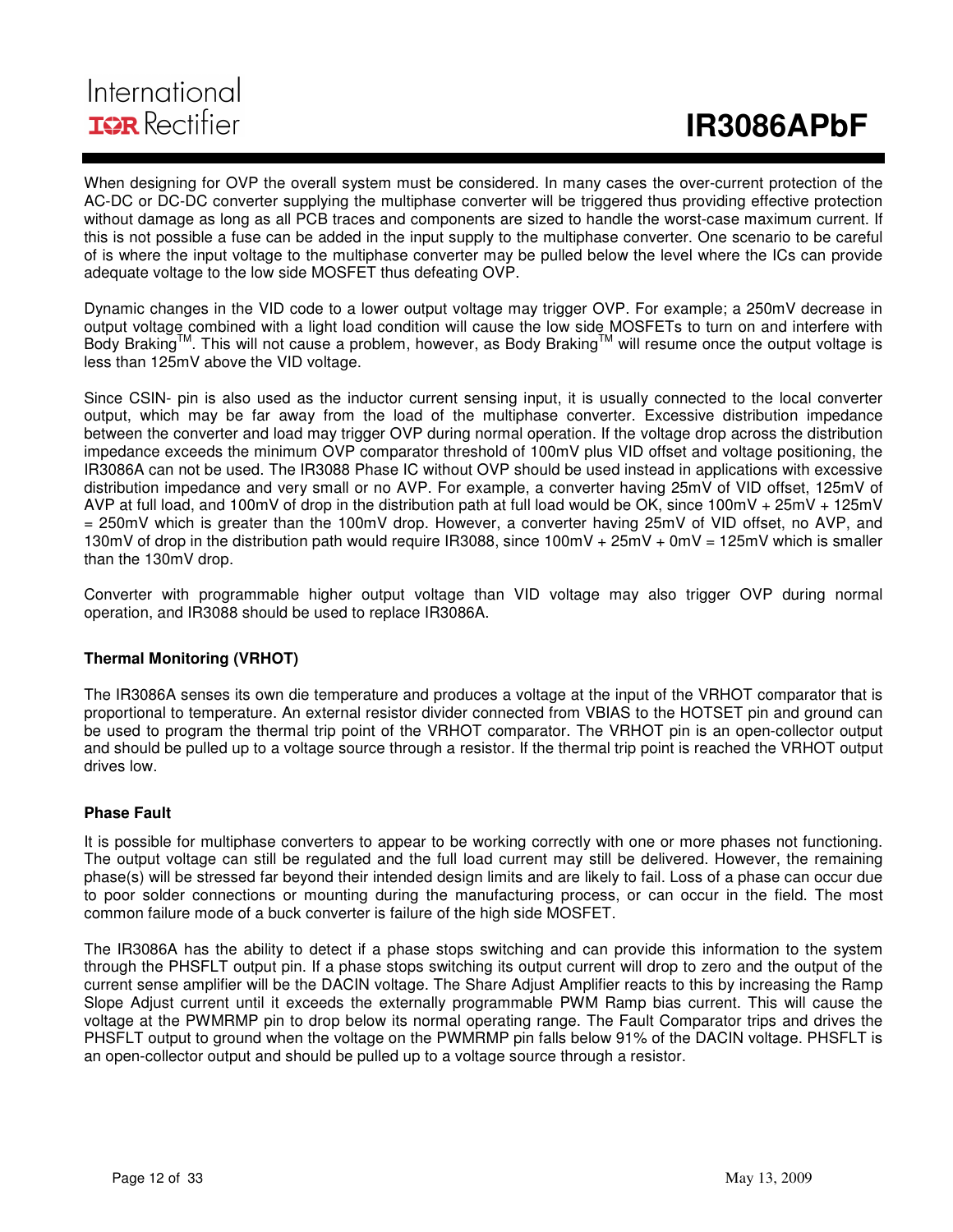## International **IOR** Rectifier

When designing for OVP the overall system must be considered. In many cases the over-current protection of the AC-DC or DC-DC converter supplying the multiphase converter will be triggered thus providing effective protection without damage as long as all PCB traces and components are sized to handle the worst-case maximum current. If this is not possible a fuse can be added in the input supply to the multiphase converter. One scenario to be careful of is where the input voltage to the multiphase converter may be pulled below the level where the ICs can provide adequate voltage to the low side MOSFET thus defeating OVP.

Dynamic changes in the VID code to a lower output voltage may trigger OVP. For example; a 250mV decrease in output voltage combined with a light load condition will cause the low side MOSFETs to turn on and interfere with Body Braking™. This will not cause a problem, however, as Body Braking™ will resume once the output voltage is less than 125mV above the VID voltage.

Since CSIN- pin is also used as the inductor current sensing input, it is usually connected to the local converter output, which may be far away from the load of the multiphase converter. Excessive distribution impedance between the converter and load may trigger OVP during normal operation. If the voltage drop across the distribution impedance exceeds the minimum OVP comparator threshold of 100mV plus VID offset and voltage positioning, the IR3086A can not be used. The IR3088 Phase IC without OVP should be used instead in applications with excessive distribution impedance and very small or no AVP. For example, a converter having 25mV of VID offset, 125mV of AVP at full load, and 100mV of drop in the distribution path at full load would be OK, since 100mV + 25mV + 125mV = 250mV which is greater than the 100mV drop. However, a converter having 25mV of VID offset, no AVP, and 130mV of drop in the distribution path would require IR3088, since 100mV + 25mV + 0mV = 125mV which is smaller than the 130mV drop.

Converter with programmable higher output voltage than VID voltage may also trigger OVP during normal operation, and IR3088 should be used to replace IR3086A.

#### **Thermal Monitoring (VRHOT)**

The IR3086A senses its own die temperature and produces a voltage at the input of the VRHOT comparator that is proportional to temperature. An external resistor divider connected from VBIAS to the HOTSET pin and ground can be used to program the thermal trip point of the VRHOT comparator. The VRHOT pin is an open-collector output and should be pulled up to a voltage source through a resistor. If the thermal trip point is reached the VRHOT output drives low.

#### **Phase Fault**

It is possible for multiphase converters to appear to be working correctly with one or more phases not functioning. The output voltage can still be regulated and the full load current may still be delivered. However, the remaining phase(s) will be stressed far beyond their intended design limits and are likely to fail. Loss of a phase can occur due to poor solder connections or mounting during the manufacturing process, or can occur in the field. The most common failure mode of a buck converter is failure of the high side MOSFET.

The IR3086A has the ability to detect if a phase stops switching and can provide this information to the system through the PHSFLT output pin. If a phase stops switching its output current will drop to zero and the output of the current sense amplifier will be the DACIN voltage. The Share Adjust Amplifier reacts to this by increasing the Ramp Slope Adjust current until it exceeds the externally programmable PWM Ramp bias current. This will cause the voltage at the PWMRMP pin to drop below its normal operating range. The Fault Comparator trips and drives the PHSFLT output to ground when the voltage on the PWMRMP pin falls below 91% of the DACIN voltage. PHSFLT is an open-collector output and should be pulled up to a voltage source through a resistor.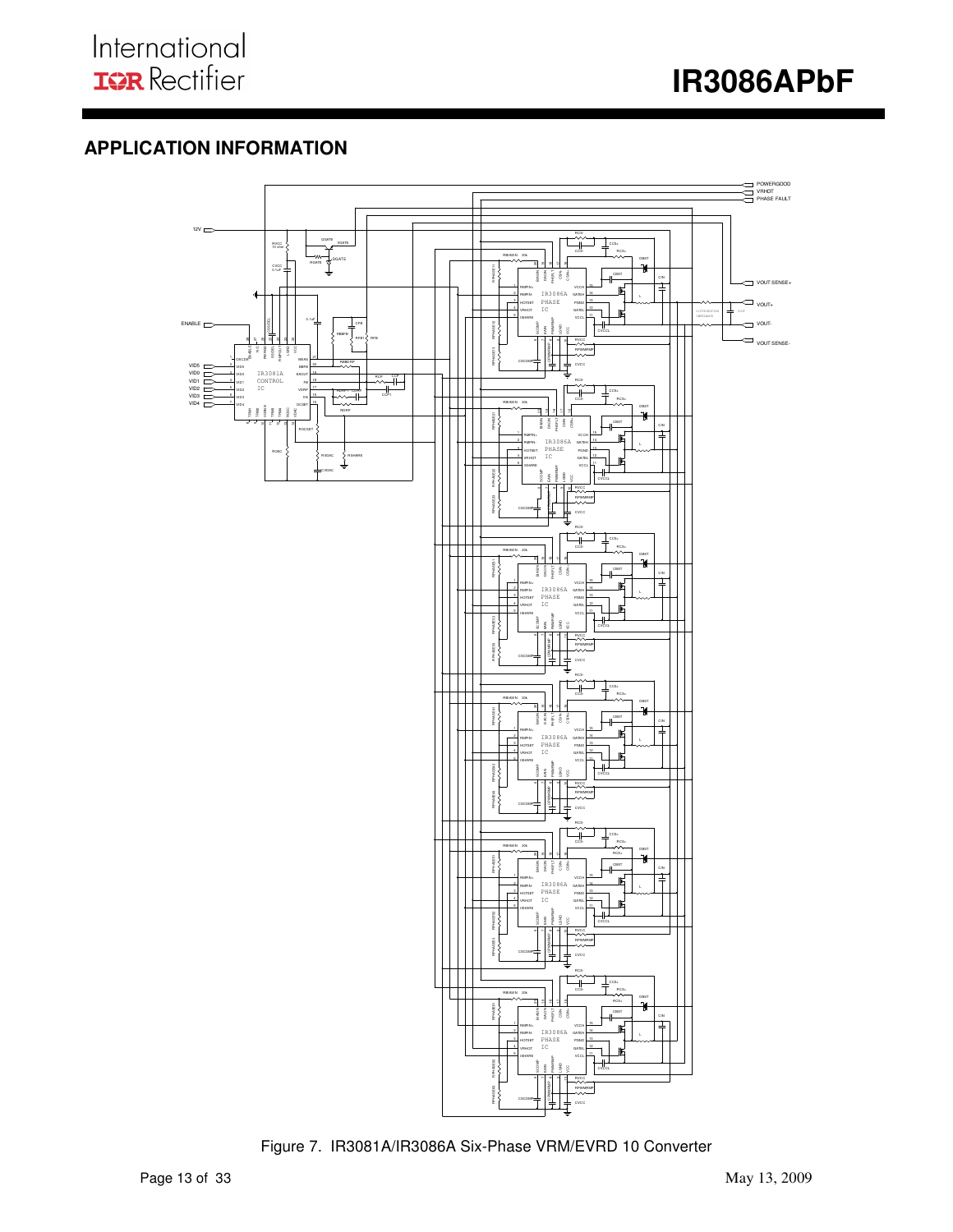I



## **APPLICATION INFORMATION**



Figure 7. IR3081A/IR3086A Six-Phase VRM/EVRD 10 Converter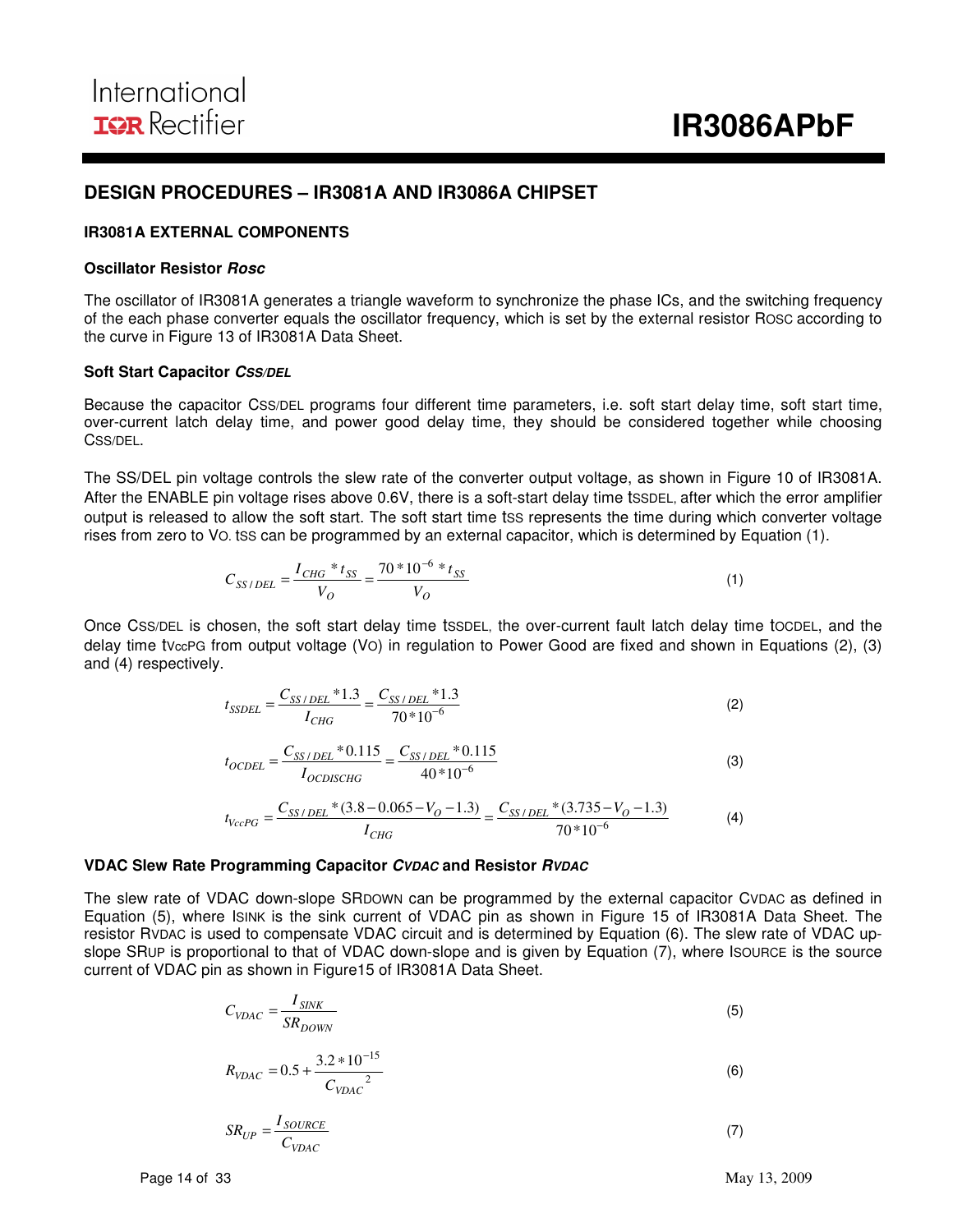#### **DESIGN PROCEDURES – IR3081A AND IR3086A CHIPSET**

#### **IR3081A EXTERNAL COMPONENTS**

#### **Oscillator Resistor Rosc**

The oscillator of IR3081A generates a triangle waveform to synchronize the phase ICs, and the switching frequency of the each phase converter equals the oscillator frequency, which is set by the external resistor ROSC according to the curve in Figure 13 of IR3081A Data Sheet.

#### **Soft Start Capacitor CSS/DEL**

Because the capacitor CSS/DEL programs four different time parameters, i.e. soft start delay time, soft start time, over-current latch delay time, and power good delay time, they should be considered together while choosing CSS/DEL.

The SS/DEL pin voltage controls the slew rate of the converter output voltage, as shown in Figure 10 of IR3081A. After the ENABLE pin voltage rises above 0.6V, there is a soft-start delay time tSSDEL, after which the error amplifier output is released to allow the soft start. The soft start time tss represents the time during which converter voltage rises from zero to VO. tSS can be programmed by an external capacitor, which is determined by Equation (1).

$$
C_{SS/DEL} = \frac{I_{CHG} * t_{SS}}{V_O} = \frac{70 * 10^{-6} * t_{SS}}{V_O}
$$
\n(1)

Once CSS/DEL is chosen, the soft start delay time tSSDEL, the over-current fault latch delay time tOCDEL, and the delay time tVccPG from output voltage (VO) in regulation to Power Good are fixed and shown in Equations (2), (3) and (4) respectively.

$$
t_{SSDEL} = \frac{C_{SS/DEL} * 1.3}{I_{CHG}} = \frac{C_{SS/DEL} * 1.3}{70 * 10^{-6}}
$$
 (2)

$$
t_{OCDEL} = \frac{C_{SS/DEL} * 0.115}{I_{OCDISCHG}} = \frac{C_{SS/DEL} * 0.115}{40 * 10^{-6}}
$$
(3)

$$
t_{VccPG} = \frac{C_{SS/DEL} * (3.8 - 0.065 - V_O - 1.3)}{I_{CHG}} = \frac{C_{SS/DEL} * (3.735 - V_O - 1.3)}{70 * 10^{-6}}
$$
(4)

#### **VDAC Slew Rate Programming Capacitor CVDAC and Resistor RVDAC**

The slew rate of VDAC down-slope SRDOWN can be programmed by the external capacitor CVDAC as defined in Equation (5), where ISINK is the sink current of VDAC pin as shown in Figure 15 of IR3081A Data Sheet. The resistor RVDAC is used to compensate VDAC circuit and is determined by Equation (6). The slew rate of VDAC upslope SRUP is proportional to that of VDAC down-slope and is given by Equation (7), where ISOURCE is the source current of VDAC pin as shown in Figure15 of IR3081A Data Sheet.

$$
C_{VDAC} = \frac{I_{SINK}}{SR_{DOWN}}
$$
\n(5)

$$
R_{VDAC} = 0.5 + \frac{3.2 * 10^{-15}}{C_{VDAC}^2}
$$
 (6)

$$
SR_{UP} = \frac{I_{SOLVECE}}{C_{VDAC}}\tag{7}
$$

Page 14 of 33 May 13, 2009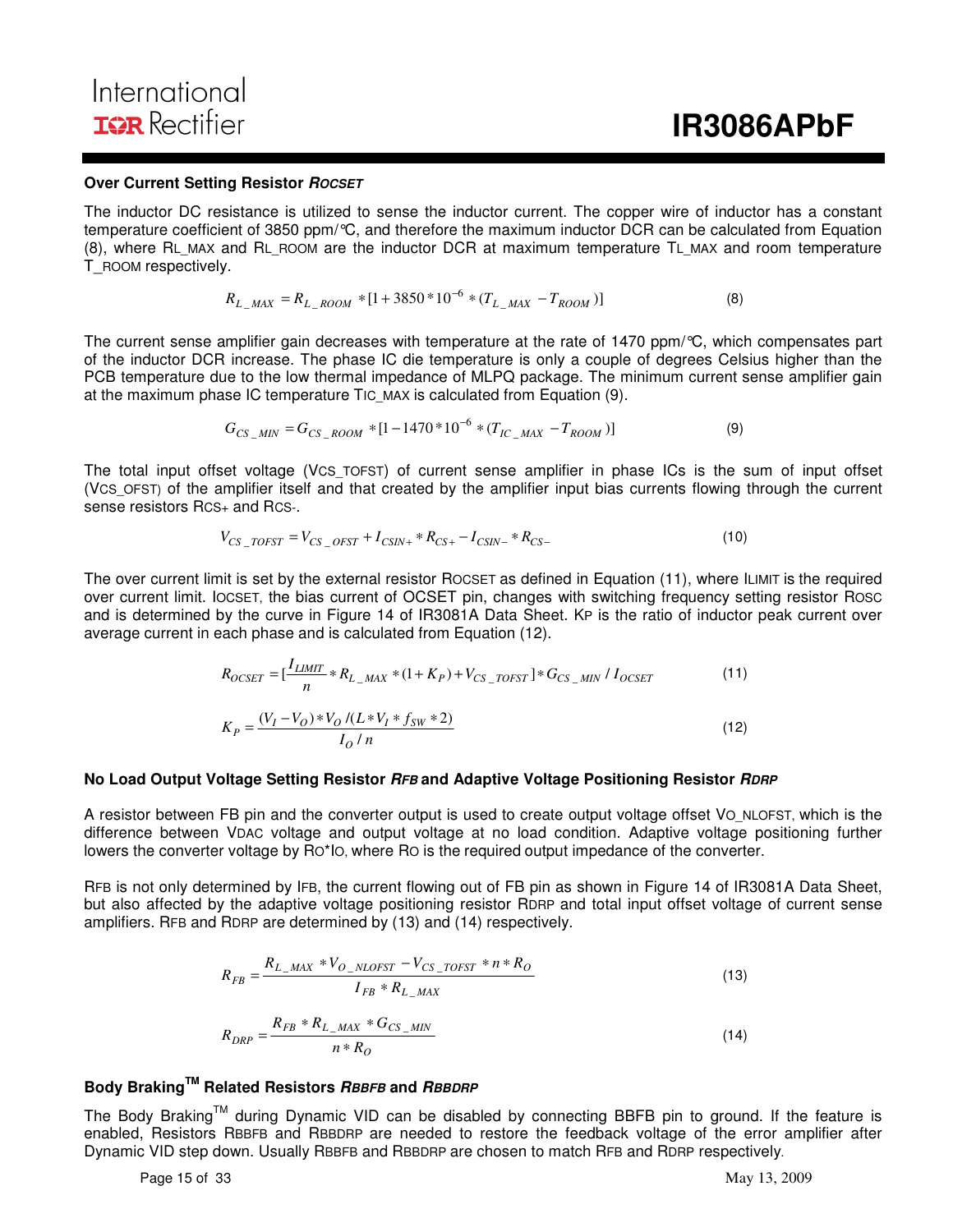International **IOR** Rectifier

#### **Over Current Setting Resistor ROCSET**

The inductor DC resistance is utilized to sense the inductor current. The copper wire of inductor has a constant temperature coefficient of 3850 ppm/°C, and therefore the maximum inductor DCR can be calculated from Equation (8), where RL\_MAX and RL\_ROOM are the inductor DCR at maximum temperature TL\_MAX and room temperature T\_ROOM respectively.

$$
R_{L\_MAX} = R_{L\_Room} * [1 + 3850 * 10^{-6} * (T_{L\_MAX} - T_{ROM})]
$$
\n(8)

The current sense amplifier gain decreases with temperature at the rate of 1470 ppm/°C, which compensates part of the inductor DCR increase. The phase IC die temperature is only a couple of degrees Celsius higher than the PCB temperature due to the low thermal impedance of MLPQ package. The minimum current sense amplifier gain at the maximum phase IC temperature TIC MAX is calculated from Equation (9).

$$
G_{CS\_MIN} = G_{CS\_Room} * [1 - 1470 * 10^{-6} * (T_{IC\_MAX} - T_{ROM})]
$$
\n(9)

The total input offset voltage (VCS\_TOFST) of current sense amplifier in phase ICs is the sum of input offset (VCS\_OFST) of the amplifier itself and that created by the amplifier input bias currents flowing through the current sense resistors RCS+ and RCS-.

$$
V_{CS\_TOFST} = V_{CS\_OFST} + I_{CSIN+} * R_{CS+} - I_{CSIN-} * R_{CS-}
$$
\n(10)

The over current limit is set by the external resistor ROCSET as defined in Equation (11), where ILIMIT is the required over current limit. IOCSET, the bias current of OCSET pin, changes with switching frequency setting resistor ROSC and is determined by the curve in Figure 14 of IR3081A Data Sheet. KP is the ratio of inductor peak current over average current in each phase and is calculated from Equation (12).

$$
R_{OCSET} = \left[\frac{I_{LIMIT}}{n} * R_{L_{\_MAX}} * (1 + K_P) + V_{CS_{\_TOFST}}\right] * G_{CS_{\_MIN}} / I_{OCSET}
$$
\n
$$
K_P = \frac{(V_I - V_O) * V_O / (L * V_I * f_{SW} * 2)}{I_O / n}
$$
\n(12)

#### **No Load Output Voltage Setting Resistor RFB and Adaptive Voltage Positioning Resistor RDRP**

A resistor between FB pin and the converter output is used to create output voltage offset VO\_NLOFST, which is the difference between VDAC voltage and output voltage at no load condition. Adaptive voltage positioning further lowers the converter voltage by RO\*IO, where RO is the required output impedance of the converter.

RFB is not only determined by IFB, the current flowing out of FB pin as shown in Figure 14 of IR3081A Data Sheet, but also affected by the adaptive voltage positioning resistor RDRP and total input offset voltage of current sense amplifiers. RFB and RDRP are determined by (13) and (14) respectively.

$$
R_{FB} = \frac{R_{L\_MAX} * V_{O\_NLOFST} - V_{CS\_TOFST} * n * R_{O}}{I_{FB} * R_{L\_MAX}}
$$
(13)  

$$
R_{DRP} = \frac{R_{FB} * R_{L\_MAX} * G_{CS\_MIN}}{n * R_{O}}
$$
(14)

#### **Body BrakingTM Related Resistors RBBFB and RBBDRP**

The Body Braking™ during Dynamic VID can be disabled by connecting BBFB pin to ground. If the feature is enabled, Resistors RBBFB and RBBDRP are needed to restore the feedback voltage of the error amplifier after Dynamic VID step down. Usually RBBFB and RBBDRP are chosen to match RFB and RDRP respectively.

Page 15 of 33 May 13, 2009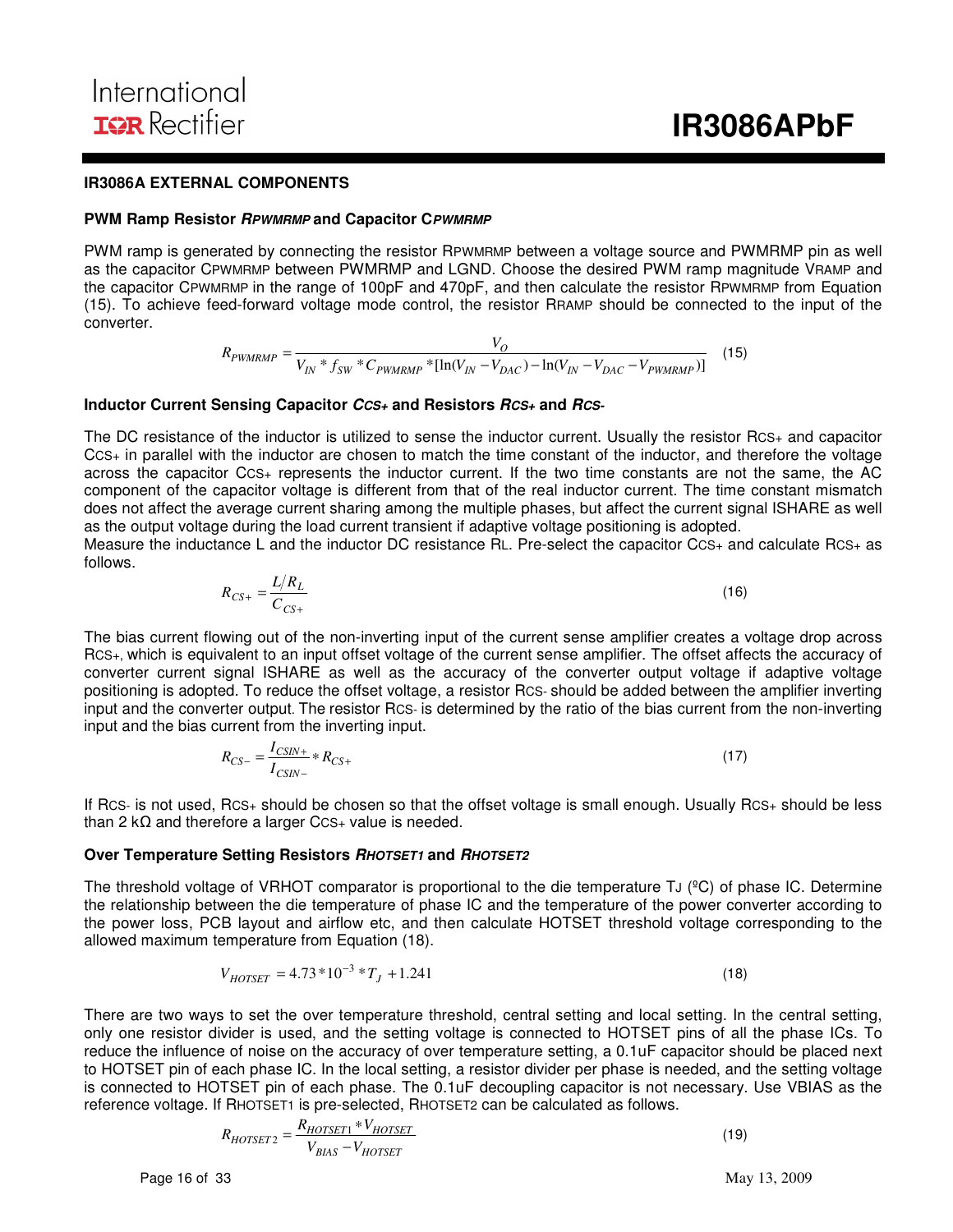#### **IR3086A EXTERNAL COMPONENTS**

#### **PWM Ramp Resistor RPWMRMP and Capacitor CPWMRMP**

PWM ramp is generated by connecting the resistor RPWMRMP between a voltage source and PWMRMP pin as well as the capacitor CPWMRMP between PWMRMP and LGND. Choose the desired PWM ramp magnitude VRAMP and the capacitor CPWMRMP in the range of 100pF and 470pF, and then calculate the resistor RPWMRMP from Equation (15). To achieve feed-forward voltage mode control, the resistor RRAMP should be connected to the input of the converter.

$$
R_{PWMRMP} = \frac{V_O}{V_{IN} * f_{SW} * C_{PWMRMP} * [\ln(V_{IN} - V_{DAC}) - \ln(V_{IN} - V_{DAC} - V_{PWMRMP})]} \tag{15}
$$

#### **Inductor Current Sensing Capacitor CCS+ and Resistors RCS+ and RCS-**

The DC resistance of the inductor is utilized to sense the inductor current. Usually the resistor RCS+ and capacitor CCS+ in parallel with the inductor are chosen to match the time constant of the inductor, and therefore the voltage across the capacitor CCS+ represents the inductor current. If the two time constants are not the same, the AC component of the capacitor voltage is different from that of the real inductor current. The time constant mismatch does not affect the average current sharing among the multiple phases, but affect the current signal ISHARE as well as the output voltage during the load current transient if adaptive voltage positioning is adopted.

Measure the inductance L and the inductor DC resistance RL. Pre-select the capacitor CCS+ and calculate RCS+ as follows.

$$
R_{CS+} = \frac{L/R_L}{C_{CS+}}\tag{16}
$$

The bias current flowing out of the non-inverting input of the current sense amplifier creates a voltage drop across RCS+, which is equivalent to an input offset voltage of the current sense amplifier. The offset affects the accuracy of converter current signal ISHARE as well as the accuracy of the converter output voltage if adaptive voltage positioning is adopted. To reduce the offset voltage, a resistor RCS- should be added between the amplifier inverting input and the converter output. The resistor RCS- is determined by the ratio of the bias current from the non-inverting input and the bias current from the inverting input.

$$
R_{CS-} = \frac{I_{CSIN+}}{I_{CSIN-}} * R_{CS+}
$$
 (17)

If RCS- is not used, RCS+ should be chosen so that the offset voltage is small enough. Usually RCS+ should be less than 2 kΩ and therefore a larger CCS+ value is needed.

#### **Over Temperature Setting Resistors RHOTSET1 and RHOTSET2**

The threshold voltage of VRHOT comparator is proportional to the die temperature TJ (<sup>o</sup>C) of phase IC. Determine the relationship between the die temperature of phase IC and the temperature of the power converter according to the power loss, PCB layout and airflow etc, and then calculate HOTSET threshold voltage corresponding to the allowed maximum temperature from Equation (18).

$$
V_{HOTSET} = 4.73 * 10^{-3} * T_J + 1.241
$$
\n(18)

There are two ways to set the over temperature threshold, central setting and local setting. In the central setting, only one resistor divider is used, and the setting voltage is connected to HOTSET pins of all the phase ICs. To reduce the influence of noise on the accuracy of over temperature setting, a 0.1uF capacitor should be placed next to HOTSET pin of each phase IC. In the local setting, a resistor divider per phase is needed, and the setting voltage is connected to HOTSET pin of each phase. The 0.1uF decoupling capacitor is not necessary. Use VBIAS as the reference voltage. If RHOTSET1 is pre-selected, RHOTSET2 can be calculated as follows.

$$
R_{HOTSET2} = \frac{R_{HOTSET1} * V_{HOTSET}}{V_{BIAS} - V_{HOTSET}}\tag{19}
$$

Page 16 of 33 May 13, 2009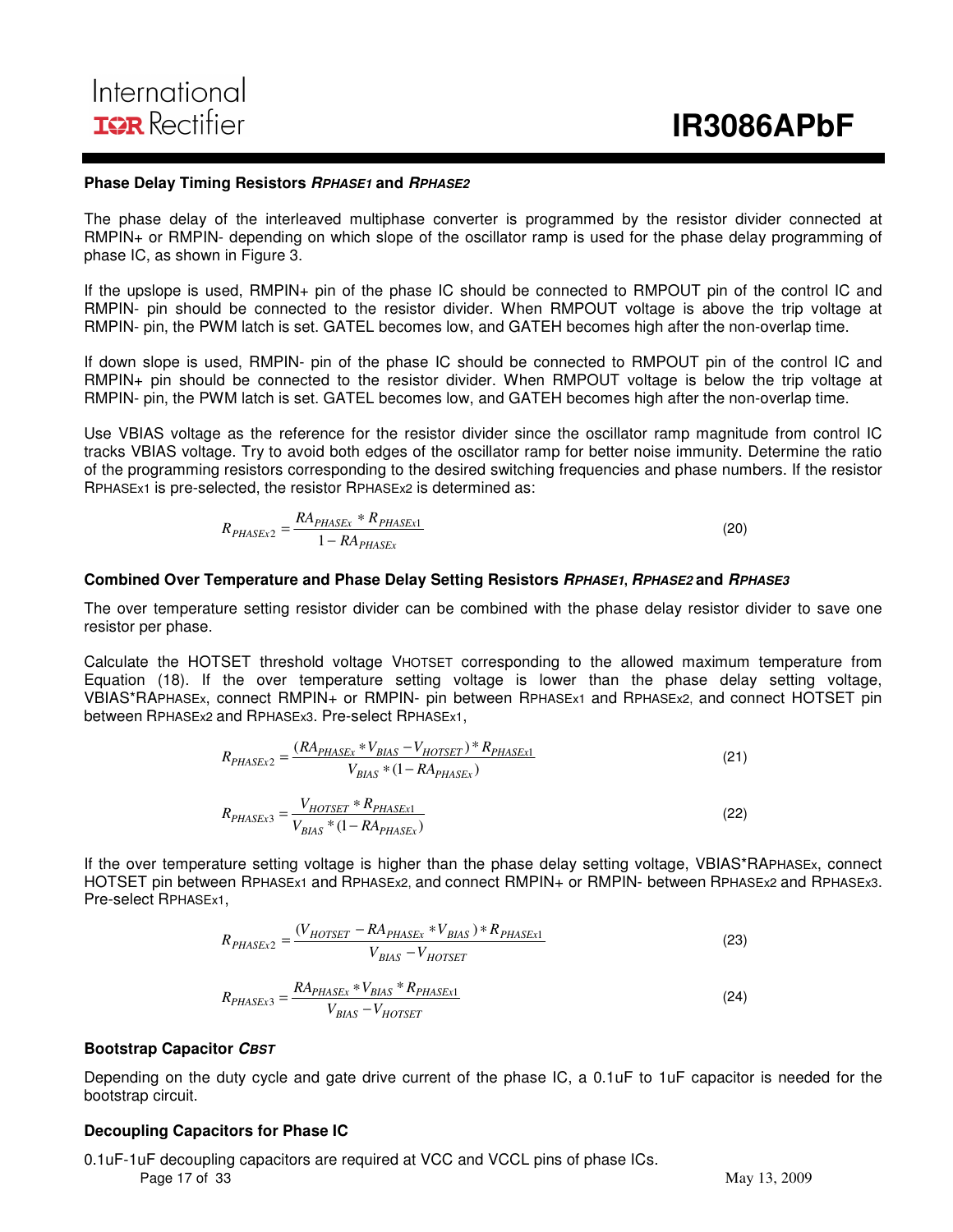#### **Phase Delay Timing Resistors RPHASE1 and RPHASE2**

The phase delay of the interleaved multiphase converter is programmed by the resistor divider connected at RMPIN+ or RMPIN- depending on which slope of the oscillator ramp is used for the phase delay programming of phase IC, as shown in Figure 3.

If the upslope is used, RMPIN+ pin of the phase IC should be connected to RMPOUT pin of the control IC and RMPIN- pin should be connected to the resistor divider. When RMPOUT voltage is above the trip voltage at RMPIN- pin, the PWM latch is set. GATEL becomes low, and GATEH becomes high after the non-overlap time.

If down slope is used, RMPIN- pin of the phase IC should be connected to RMPOUT pin of the control IC and RMPIN+ pin should be connected to the resistor divider. When RMPOUT voltage is below the trip voltage at RMPIN- pin, the PWM latch is set. GATEL becomes low, and GATEH becomes high after the non-overlap time.

Use VBIAS voltage as the reference for the resistor divider since the oscillator ramp magnitude from control IC tracks VBIAS voltage. Try to avoid both edges of the oscillator ramp for better noise immunity. Determine the ratio of the programming resistors corresponding to the desired switching frequencies and phase numbers. If the resistor RPHASEx1 is pre-selected, the resistor RPHASEx2 is determined as:

$$
R_{PHASEx2} = \frac{RA_{PHASEx} * R_{PHASEx1}}{1 - RA_{PHASEx}}
$$
\n(20)

#### **Combined Over Temperature and Phase Delay Setting Resistors RPHASE1, RPHASE2 and RPHASE3**

The over temperature setting resistor divider can be combined with the phase delay resistor divider to save one resistor per phase.

Calculate the HOTSET threshold voltage VHOTSET corresponding to the allowed maximum temperature from Equation (18). If the over temperature setting voltage is lower than the phase delay setting voltage, VBIAS\*RAPHASEx, connect RMPIN+ or RMPIN- pin between RPHASEx1 and RPHASEx2, and connect HOTSET pin between RPHASEx2 and RPHASEx3. Pre-select RPHASEx1,

$$
R_{PHASEx2} = \frac{(RA_{PHASEx} * V_{BIAS} - V_{HOTSET}) * R_{PHASEx1}}{V_{BIAS} * (1 - R_{PHASEx})}
$$
(21)  

$$
R_{PHASEx3} = \frac{V_{HOTSET} * R_{PHASEx1}}{V_{BIAS} * (1 - R_{PHASEx})}
$$
(22)

If the over temperature setting voltage is higher than the phase delay setting voltage, VBIAS\*RAPHASEx, connect HOTSET pin between RPHASEx1 and RPHASEx2, and connect RMPIN+ or RMPIN- between RPHASEx2 and RPHASEx3. Pre-select RPHASEx1,

$$
R_{PHASEx2} = \frac{(V_{HOTSET} - R_{PHASEx} * V_{BIAS}) * R_{PHASEx1}}{V_{BIAS} - V_{HOTSET}}
$$
(23)  

$$
R_{PHASEx3} = \frac{R_{PHASEx} * V_{BIAS} * R_{PHASEx1}}{V_{BIAS} - V_{HOTSET}}
$$
(24)

#### **Bootstrap Capacitor CBST**

Depending on the duty cycle and gate drive current of the phase IC, a 0.1uF to 1uF capacitor is needed for the bootstrap circuit.

#### **Decoupling Capacitors for Phase IC**

Page 17 of 33 May 13, 2009 0.1uF-1uF decoupling capacitors are required at VCC and VCCL pins of phase ICs.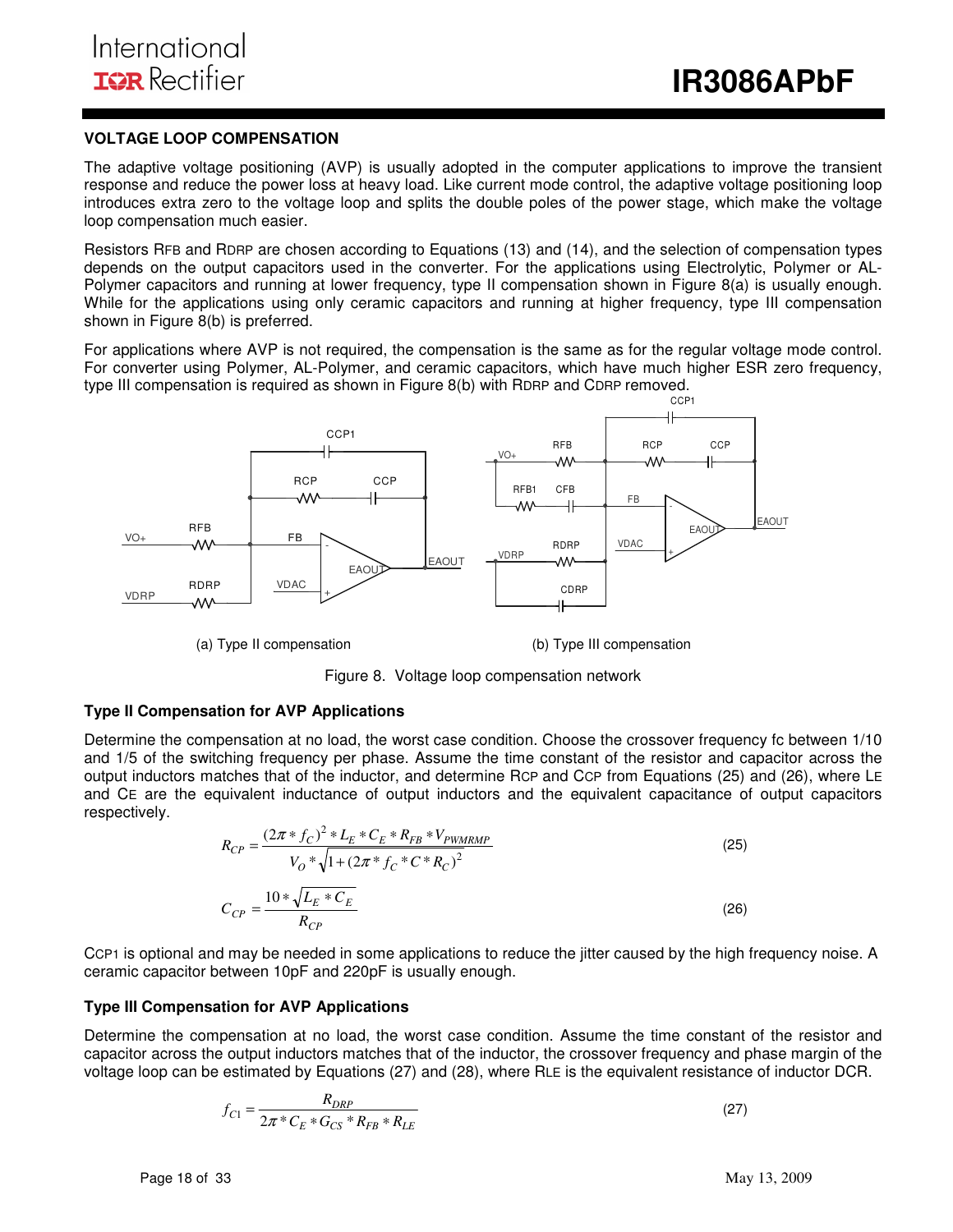#### **VOLTAGE LOOP COMPENSATION**

The adaptive voltage positioning (AVP) is usually adopted in the computer applications to improve the transient response and reduce the power loss at heavy load. Like current mode control, the adaptive voltage positioning loop introduces extra zero to the voltage loop and splits the double poles of the power stage, which make the voltage loop compensation much easier.

Resistors RFB and RDRP are chosen according to Equations (13) and (14), and the selection of compensation types depends on the output capacitors used in the converter. For the applications using Electrolytic, Polymer or AL-Polymer capacitors and running at lower frequency, type II compensation shown in Figure 8(a) is usually enough. While for the applications using only ceramic capacitors and running at higher frequency, type III compensation shown in Figure 8(b) is preferred.

For applications where AVP is not required, the compensation is the same as for the regular voltage mode control. For converter using Polymer, AL-Polymer, and ceramic capacitors, which have much higher ESR zero frequency, type III compensation is required as shown in Figure 8(b) with RDRP and CDRP removed.



(a) Type II compensation (b) Type III compensation

Figure 8. Voltage loop compensation network

#### **Type II Compensation for AVP Applications**

Determine the compensation at no load, the worst case condition. Choose the crossover frequency fc between 1/10 and 1/5 of the switching frequency per phase. Assume the time constant of the resistor and capacitor across the output inductors matches that of the inductor, and determine RCP and CCP from Equations (25) and (26), where LE and CE are the equivalent inductance of output inductors and the equivalent capacitance of output capacitors respectively.

$$
R_{CP} = \frac{(2\pi * f_C)^2 * L_E * C_E * R_{FB} * V_{PWMRMP}}{V_O * \sqrt{1 + (2\pi * f_C * C * R_C)^2}}
$$
\n
$$
C_{CP} = \frac{10 * \sqrt{L_E * C_E}}{R_{CP}}
$$
\n(26)

CCP1 is optional and may be needed in some applications to reduce the jitter caused by the high frequency noise. A ceramic capacitor between 10pF and 220pF is usually enough.

#### **Type III Compensation for AVP Applications**

Determine the compensation at no load, the worst case condition. Assume the time constant of the resistor and capacitor across the output inductors matches that of the inductor, the crossover frequency and phase margin of the voltage loop can be estimated by Equations (27) and (28), where RLE is the equivalent resistance of inductor DCR.

$$
f_{C1} = \frac{R_{DRP}}{2\pi \times C_E \times C_{CS} \times R_{FB} \times R_{LE}}
$$
(27)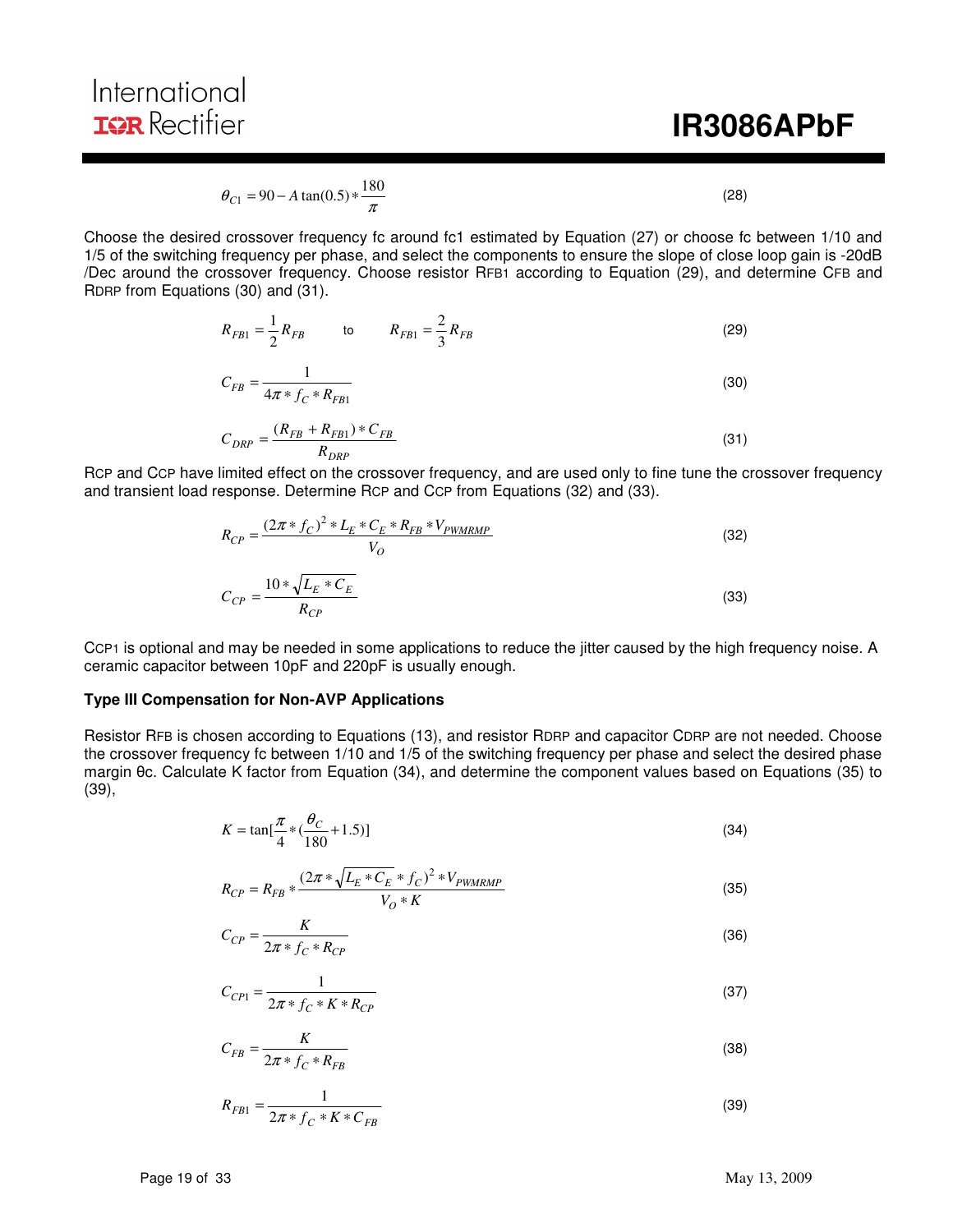# **IR3086APbF**

$$
\theta_{C1} = 90 - A \tan(0.5) * \frac{180}{\pi}
$$
\n(28)

Choose the desired crossover frequency fc around fc1 estimated by Equation (27) or choose fc between 1/10 and 1/5 of the switching frequency per phase, and select the components to ensure the slope of close loop gain is -20dB /Dec around the crossover frequency. Choose resistor RFB1 according to Equation (29), and determine CFB and RDRP from Equations (30) and (31).

$$
R_{FB1} = \frac{1}{2} R_{FB} \qquad \qquad \text{to} \qquad R_{FB1} = \frac{2}{3} R_{FB} \tag{29}
$$

$$
C_{FB} = \frac{1}{4\pi * f_C * R_{FB1}}
$$
\n(30)

$$
C_{DRP} = \frac{(R_{FB} + R_{FB1}) \cdot C_{FB}}{R_{DRP}} \tag{31}
$$

RCP and CCP have limited effect on the crossover frequency, and are used only to fine tune the crossover frequency and transient load response. Determine RCP and CCP from Equations (32) and (33).

$$
R_{CP} = \frac{(2\pi * f_C)^2 * L_E * C_E * R_{FB} * V_{PWMRMP}}{V_O}
$$
\n
$$
C_{CP} = \frac{10 * \sqrt{L_E * C_E}}{V_O}
$$
\n(32)

$$
C_{CP} = \frac{1 - \sqrt{1 - E^2 - E}}{R_{CP}}
$$
\n(33)

CCP1 is optional and may be needed in some applications to reduce the jitter caused by the high frequency noise. A ceramic capacitor between 10pF and 220pF is usually enough.

#### **Type III Compensation for Non-AVP Applications**

Resistor RFB is chosen according to Equations (13), and resistor RDRP and capacitor CDRP are not needed. Choose the crossover frequency fc between 1/10 and 1/5 of the switching frequency per phase and select the desired phase margin θc. Calculate K factor from Equation (34), and determine the component values based on Equations (35) to (39),

$$
K = \tan[\frac{\pi}{4} * (\frac{\theta_C}{180} + 1.5)]
$$
\n(34)

$$
R_{CP} = R_{FB} * \frac{(2\pi * \sqrt{L_E * C_E} * f_C)^2 * V_{PWMRMP}}{V_O * K}
$$
(35)

$$
C_{CP} = \frac{K}{2\pi \cdot f_C \cdot R_{CP}}
$$
\n
$$
\tag{36}
$$

$$
C_{CP1} = \frac{1}{2\pi * f_C * K * R_{CP}}
$$
\n(37)

$$
C_{FB} = \frac{K}{2\pi \cdot f_C \cdot R_{FB}}\tag{38}
$$

$$
R_{FB1} = \frac{1}{2\pi * f_C * K * C_{FB}}
$$
\n(39)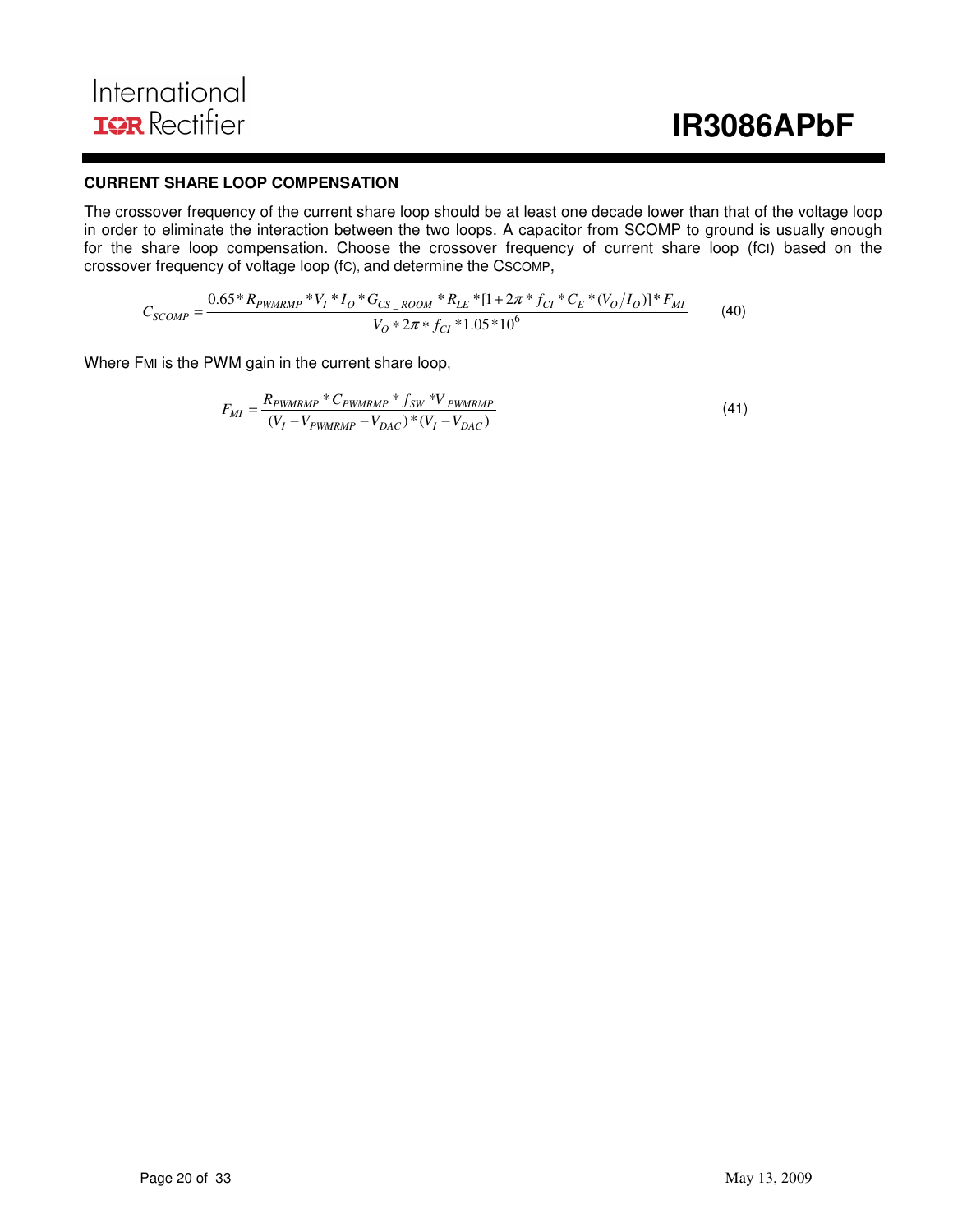#### **CURRENT SHARE LOOP COMPENSATION**

The crossover frequency of the current share loop should be at least one decade lower than that of the voltage loop in order to eliminate the interaction between the two loops. A capacitor from SCOMP to ground is usually enough for the share loop compensation. Choose the crossover frequency of current share loop (fcI) based on the crossover frequency of voltage loop (fC), and determine the CSCOMP,

$$
C_{SCOMP} = \frac{0.65 * R_{PWMRMP} * V_I * I_O * G_{CS\_ROOM} * R_{LE} * [1 + 2\pi * f_{Cl} * C_E * (V_O/I_O)] * F_{MI}}{V_O * 2\pi * f_{Cl} * 1.05 * 10^6}
$$
(40)

Where FMI is the PWM gain in the current share loop,

$$
F_{MI} = \frac{R_{PWMRMP} * C_{PWMRMP} * f_{SW} * V_{PWMRMP}}{(V_I - V_{PWMRMP} - V_{DAC}) * (V_I - V_{DAC})}
$$
(41)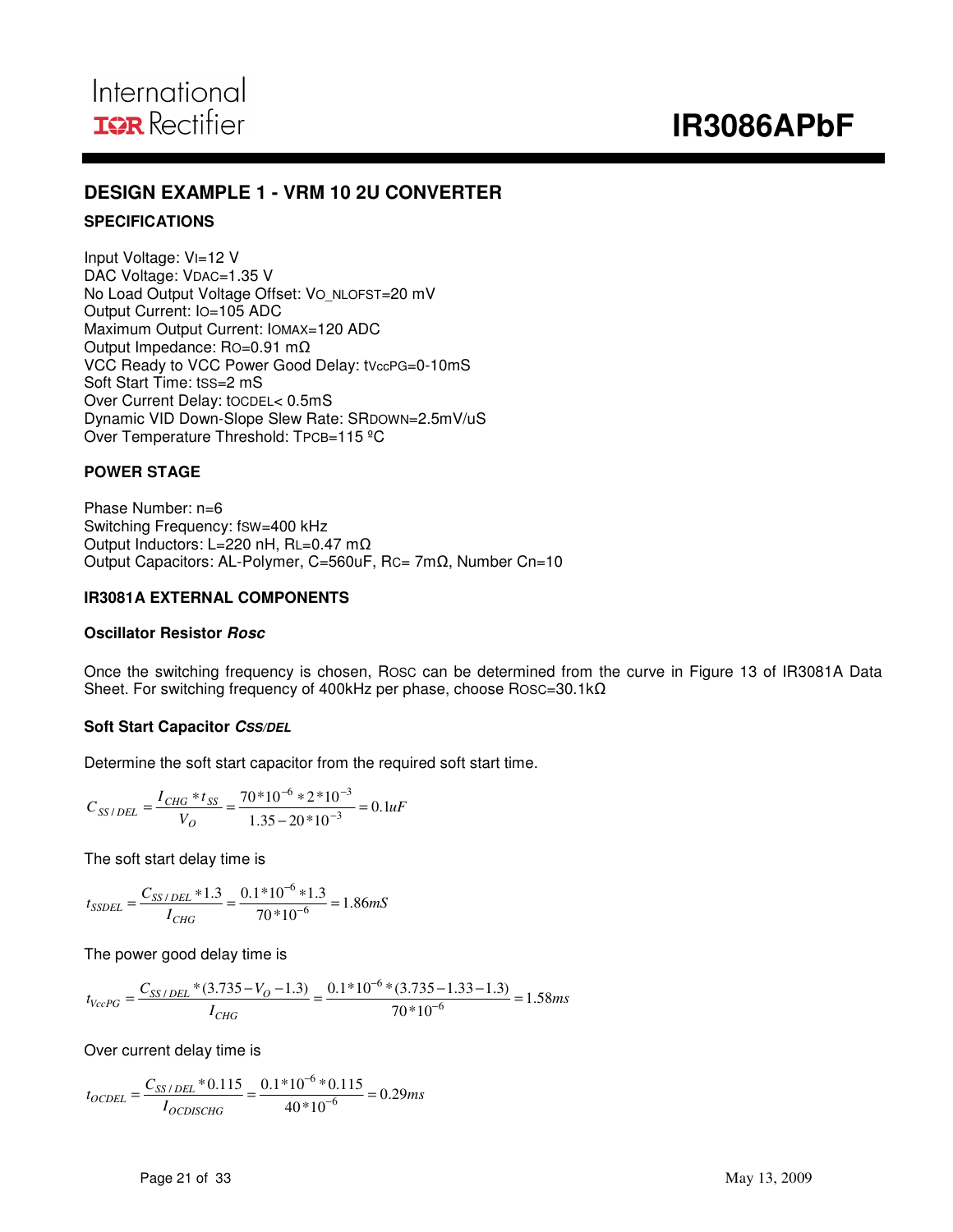### **DESIGN EXAMPLE 1 - VRM 10 2U CONVERTER**

#### **SPECIFICATIONS**

Input Voltage: VI=12 V DAC Voltage: VDAC=1.35 V No Load Output Voltage Offset: VO\_NLOFST=20 mV Output Current: IO=105 ADC Maximum Output Current: IOMAX=120 ADC Output Impedance: RO=0.91 mΩ VCC Ready to VCC Power Good Delay: tVccPG=0-10mS Soft Start Time: tSS=2 mS Over Current Delay: tOCDEL< 0.5mS Dynamic VID Down-Slope Slew Rate: SRDOWN=2.5mV/uS Over Temperature Threshold: TPCB=115 °C

#### **POWER STAGE**

Phase Number: n=6 Switching Frequency: fSW=400 kHz Output Inductors: L=220 nH, RL=0.47 mΩ Output Capacitors: AL-Polymer, C=560uF, RC= 7mΩ, Number Cn=10

#### **IR3081A EXTERNAL COMPONENTS**

#### **Oscillator Resistor Rosc**

Once the switching frequency is chosen, ROSC can be determined from the curve in Figure 13 of IR3081A Data Sheet. For switching frequency of 400kHz per phase, choose ROSC=30.1kΩ

#### **Soft Start Capacitor CSS/DEL**

Determine the soft start capacitor from the required soft start time.

$$
C_{SS/DEL} = \frac{I_{CHG} * t_{SS}}{V_O} = \frac{70 * 10^{-6} * 2 * 10^{-3}}{1.35 - 20 * 10^{-3}} = 0.1 uF
$$

The soft start delay time is

$$
t_{SSDEL} = \frac{C_{SS/DEL} * 1.3}{I_{CHG}} = \frac{0.1 * 10^{-6} * 1.3}{70 * 10^{-6}} = 1.86 \, \text{mS}
$$

The power good delay time is

$$
t_{VccPG} = \frac{C_{SS/DEL} * (3.735 - V_O - 1.3)}{I_{CHG}} = \frac{0.1 * 10^{-6} * (3.735 - 1.33 - 1.3)}{70 * 10^{-6}} = 1.58 ms
$$

Over current delay time is

$$
t_{OCDEL} = \frac{C_{SS/DEL} * 0.115}{I_{OCDISCHG}} = \frac{0.1 * 10^{-6} * 0.115}{40 * 10^{-6}} = 0.29 ms
$$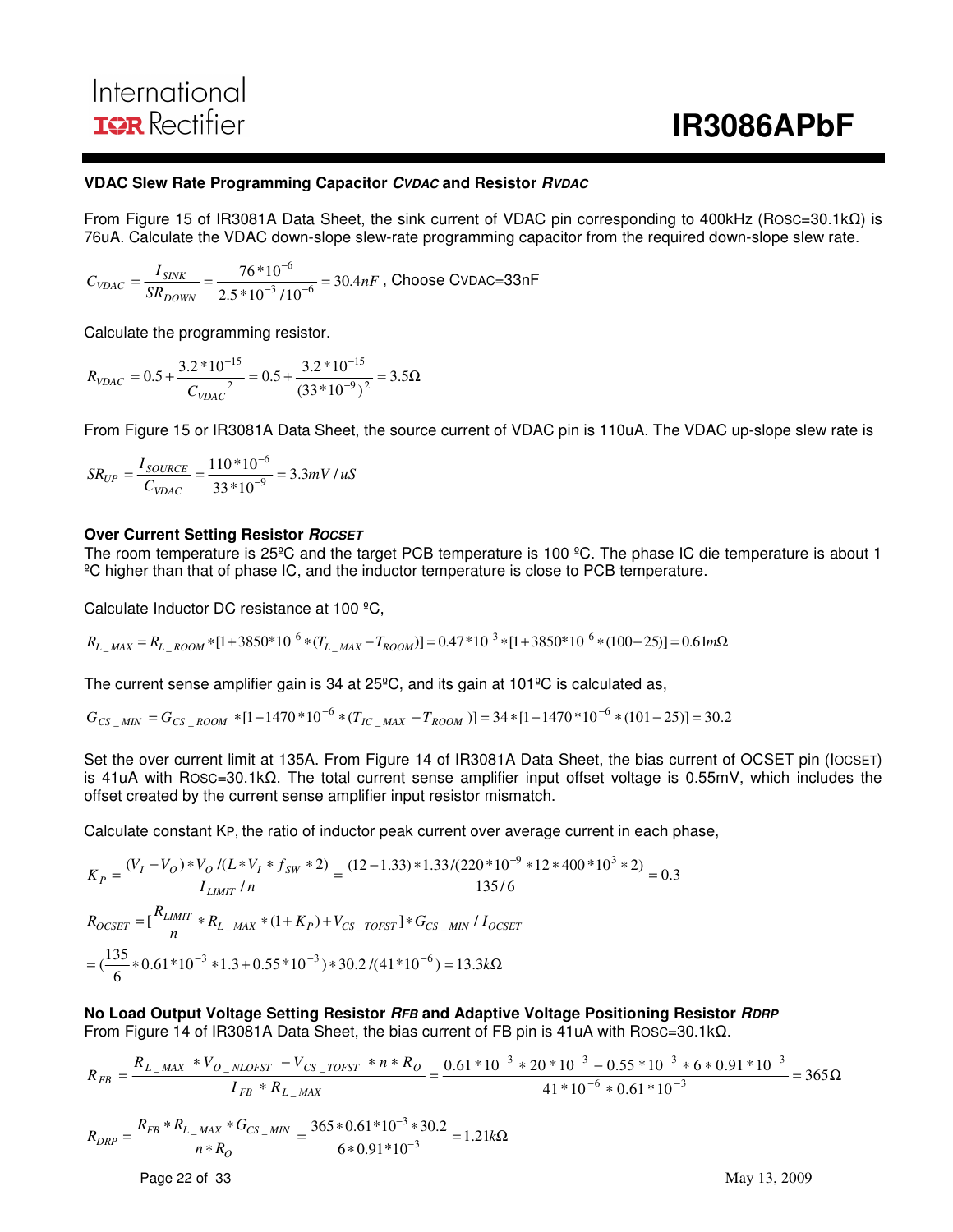#### **VDAC Slew Rate Programming Capacitor CVDAC and Resistor RVDAC**

From Figure 15 of IR3081A Data Sheet, the sink current of VDAC pin corresponding to 400kHz (ROSC=30.1kΩ) is 76uA. Calculate the VDAC down-slope slew-rate programming capacitor from the required down-slope slew rate.

$$
C_{VDAC} = \frac{I_{SINK}}{SR_{DOWN}} = \frac{76*10^{-6}}{2.5*10^{-3}/10^{-6}} = 30.4nF
$$
, Choose CVDAC=33nF

Calculate the programming resistor.

$$
R_{VDAC} = 0.5 + \frac{3.2 * 10^{-15}}{C_{VDAC}^2} = 0.5 + \frac{3.2 * 10^{-15}}{(33 * 10^{-9})^2} = 3.5 \Omega
$$

From Figure 15 or IR3081A Data Sheet, the source current of VDAC pin is 110uA. The VDAC up-slope slew rate is

$$
SR_{UP} = \frac{I_{SOURCE}}{C_{VDAC}} = \frac{110 * 10^{-6}}{33 * 10^{-9}} = 3.3 mV / uS
$$

#### **Over Current Setting Resistor ROCSET**

The room temperature is 25ºC and the target PCB temperature is 100 ºC. The phase IC die temperature is about 1 ºC higher than that of phase IC, and the inductor temperature is close to PCB temperature.

Calculate Inductor DC resistance at 100 ºC,

$$
R_{L\_MAX} = R_{L\_ROM} * [1 + 3850 * 10^{-6} * (T_{L\_MAX} - T_{ROM})] = 0.47 * 10^{-3} * [1 + 3850 * 10^{-6} * (100 - 25)] = 0.61 m\Omega
$$

The current sense amplifier gain is 34 at 25ºC, and its gain at 101ºC is calculated as,

$$
G_{CS\_MIN} = G_{CS\_Room} * [1 - 1470 * 10^{-6} * (T_{IC\_MAX} - T_{ROM})] = 34 * [1 - 1470 * 10^{-6} * (101 - 25)] = 30.2
$$

Set the over current limit at 135A. From Figure 14 of IR3081A Data Sheet, the bias current of OCSET pin (IOCSET) is 41uA with ROSC=30.1kΩ. The total current sense amplifier input offset voltage is 0.55mV, which includes the offset created by the current sense amplifier input resistor mismatch.

Calculate constant KP, the ratio of inductor peak current over average current in each phase,

$$
K_P = \frac{(V_I - V_O) * V_O / (L*V_I * f_{SW} * 2)}{I_{LIMIT} / n} = \frac{(12 - 1.33) * 1.33 / (220 * 10^{-9} * 12 * 400 * 10^3 * 2)}{135 / 6} = 0.3
$$
  
\n
$$
R_{OCSET} = \left[\frac{R_{LIMIT}}{n} * R_{L_MAX} * (1 + K_P) + V_{CS\_TOFST}\right] * G_{CS_MIN} / I_{OCSET}
$$
  
\n
$$
= \left(\frac{135}{6} * 0.61 * 10^{-3} * 1.3 + 0.55 * 10^{-3}\right) * 30.2 / (41 * 10^{-6}) = 13.3 k\Omega
$$

**No Load Output Voltage Setting Resistor RFB and Adaptive Voltage Positioning Resistor RDRP** From Figure 14 of IR3081A Data Sheet, the bias current of FB pin is 41uA with ROSC=30.1kΩ.

$$
R_{FB} = \frac{R_{L\_MAX} * V_{O\_NLOFST} - V_{CS\_TOFST} * n * R_{O}}{I_{FB} * R_{L\_MAX}} = \frac{0.61 * 10^{-3} * 20 * 10^{-3} - 0.55 * 10^{-3} * 6 * 0.91 * 10^{-3}}{41 * 10^{-6} * 0.61 * 10^{-3}} = 365 \Omega
$$

$$
R_{DRP} = \frac{R_{FB} * R_{L\_MAX} * G_{CS\_MIN}}{n * R_O} = \frac{365 * 0.61 * 10^{-3} * 30.2}{6 * 0.91 * 10^{-3}} = 1.21k\Omega
$$

Page 22 of 33 May 13, 2009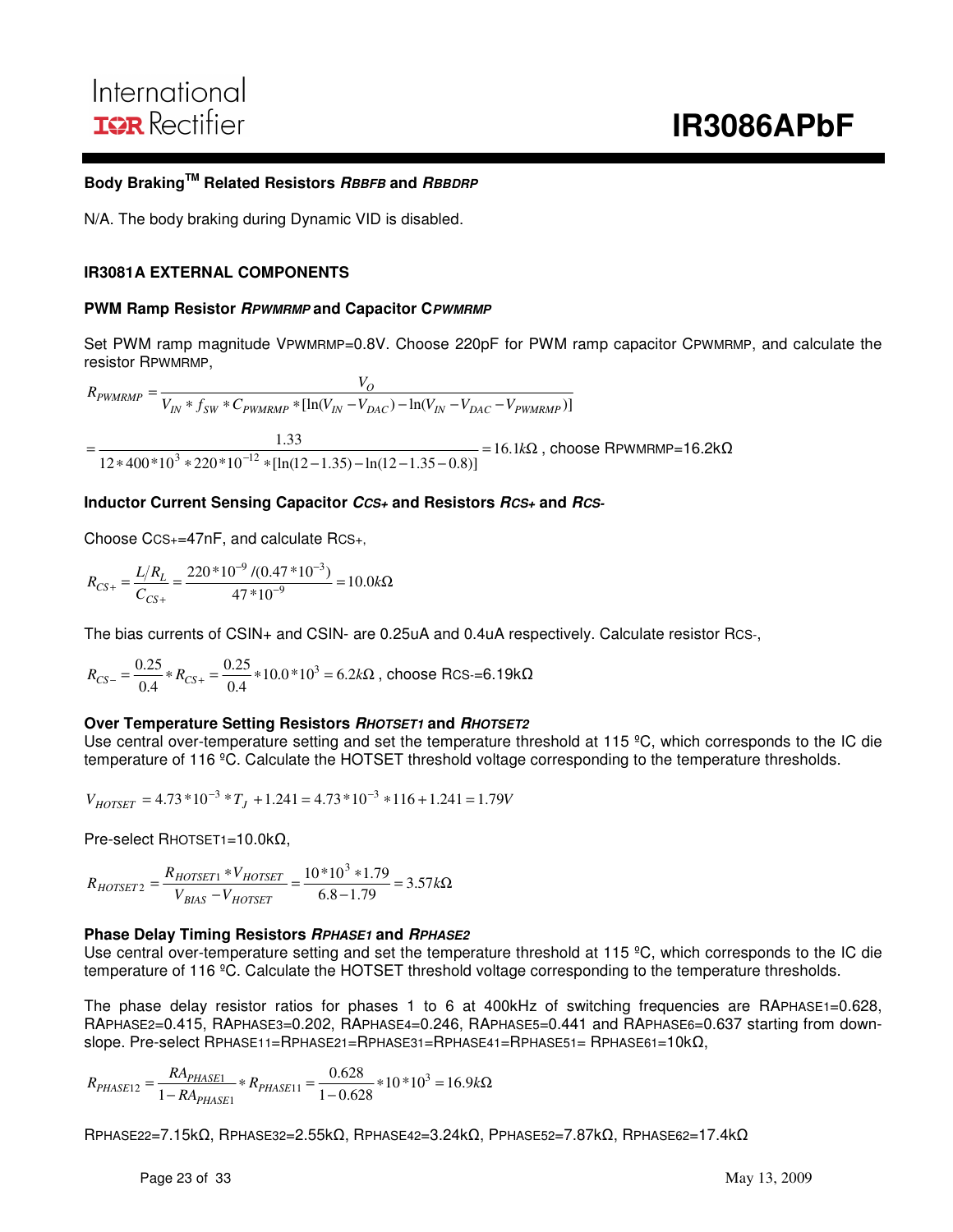## **Body BrakingTM Related Resistors RBBFB and RBBDRP**

N/A. The body braking during Dynamic VID is disabled.

#### **IR3081A EXTERNAL COMPONENTS**

#### **PWM Ramp Resistor RPWMRMP and Capacitor CPWMRMP**

Set PWM ramp magnitude VPWMRMP=0.8V. Choose 220pF for PWM ramp capacitor CPWMRMP, and calculate the resistor RPWMRMP,

 $\int_{IN} * f_{SW} * C_{PWMRMP} * [\ln(V_{IN} - V_{DAC}) - \ln(V_{IN} - V_{DAC} - V_{PWMRMP})]$  $\frac{V_O}{V_{IN} * f_{SW} * C_{PWMRMP} * [\ln(V_{IN} - V_{DAC}) - \ln(V_{IN} - V_{DAC} - V_{IV})]}$  $R_{\text{PWMRMP}} = \frac{V_O}{V_{IN} * f_{SW} * C_{\text{PWMRMP}} * [\ln(V_{IN} - V_{DAC}) - \ln(V_{IN} - V_{DAC})]}$ 

 $= 16.1k\Omega$  $*400*10^3*220*10^{-12}*[ln(12-1.35)-ln(12-1.35-0.8)]$  = 16.1k =  $12 * 400 * 10^3 * 220 * 10^{-12} * [ln(12 - 1.35) - ln(12 - 1.35 - 0.8)]$ 33.1  $\frac{1.33}{(3 \times 220 * 10^{-12} \times 1 \cdot 1)(2.1 \times 3)} = 16.1 k\Omega$ , choose RPWMRMP=16.2k $\Omega$ 

#### **Inductor Current Sensing Capacitor CCS+ and Resistors RCS+ and RCS-**

Choose CCS+=47nF, and calculate RCS+,

 $=\frac{E/4L}{C}=\frac{220}{47*10^{-9}}=10.0k\Omega$  $-9$   $\mu$ 0.47  $*10^{-7}$  $+\frac{2h}{c_{cs+}} = \frac{226}{47*10^{-9}} = 10.0k$  $R_{CS+} = \frac{L/R}{S}$ *CS*  $L_{CS+} = \frac{L/K_L}{C_{CS+}} = \frac{220 \cdot 10^{-10} (0.41 \cdot 10^{-9})}{47 \cdot 10^{-9}} = 10.0$  $220*10^{-9}$  /(0.47  $*10^{-3}$ ) 9  $9.10.17*10^{-3}$ 

The bias currents of CSIN+ and CSIN- are 0.25uA and 0.4uA respectively. Calculate resistor RCS-,

 $R_{CS} = \frac{6.25}{0.4} * R_{CS} = \frac{6.25}{0.4} * 10.0 * 10^3 = 6.2 k\Omega$  $0.25$  $0.4$  $\frac{0.25}{25}$  \*  $R_{CS+} = \frac{0.25}{25}$  \* 10.0 \* 10<sup>3</sup> = 6.2kΩ, choose Rcs-=6.19kΩ

#### **Over Temperature Setting Resistors RHOTSET1 and RHOTSET2**

Use central over-temperature setting and set the temperature threshold at 115 ºC, which corresponds to the IC die temperature of 116 °C. Calculate the HOTSET threshold voltage corresponding to the temperature thresholds.

 $V_{HOTSET} = 4.73 * 10^{-3} * T_J + 1.241 = 4.73 * 10^{-3} * 116 + 1.241 = 1.79V$ 

Pre-select RHOTSET1=10.0kΩ,

 $\frac{11.79}{-1.79}$  = 3.57kΩ  $\frac{r_1 * V_{HOTSET}}{-V_{HOTSET}} = \frac{10 * 10^3 *}{6.8 - 1}.$  $=\frac{R_{HOTSET1} * V_{HOTSET}}{V_{BIAS} - V_{HOTSET}} = \frac{10 * 10^3 * 1.79}{6.8 - 1.79} = 3.57k$  $R_{HOTSET2} = \frac{R_{HOTSET1} * V}{V}$ *BIAS HOTSET*  $HOTSET2 = {R_{HOTSET1} \over V_{BIAS} - V_{HOTSET}} = {10^{10} \over 6.8 - 1.79} = 3.57$  $\frac{R_{HOTSET1} * V_{HOTSET}}{V} = \frac{10 * 10^3 * 1.79}{6.8 \times 1.70}$ 

#### **Phase Delay Timing Resistors RPHASE1 and RPHASE2**

Use central over-temperature setting and set the temperature threshold at 115 °C, which corresponds to the IC die temperature of 116 °C. Calculate the HOTSET threshold voltage corresponding to the temperature thresholds.

The phase delay resistor ratios for phases 1 to 6 at 400kHz of switching frequencies are RAPHASE1=0.628, RAPHASE2=0.415, RAPHASE3=0.202, RAPHASE4=0.246, RAPHASE5=0.441 and RAPHASE6=0.637 starting from downslope. Pre-select RPHASE11=RPHASE21=RPHASE31=RPHASE41=RPHASE51= RPHASE61=10kΩ,

 $R_{PHASE12} = \frac{RA_{PHASE1}}{1 - RA_{PHASE1}} * R_{PHASE11} = \frac{0.628}{1 - 0.628} * 10 * 10^3 = 16.9 k\Omega$  $p_{HASE12} = \frac{R_{\text{APHASE1}}}{1 - R_{\text{APHASE1}}} * R_{\text{PHASE11}} = \frac{0.026}{1 - 0.628} * 10 * 10^3 = 16.9$ .0 628 1  $\frac{1}{1}$  \*  $R_{PHASE11} = \frac{0.028}{1 - 0.628}$  \*  $10$  \*  $10^3$  $n_12 = \frac{MPHASE1}{1+PA}$ 

RPHASE22=7.15kΩ, RPHASE32=2.55kΩ, RPHASE42=3.24kΩ, PPHASE52=7.87kΩ, RPHASE62=17.4kΩ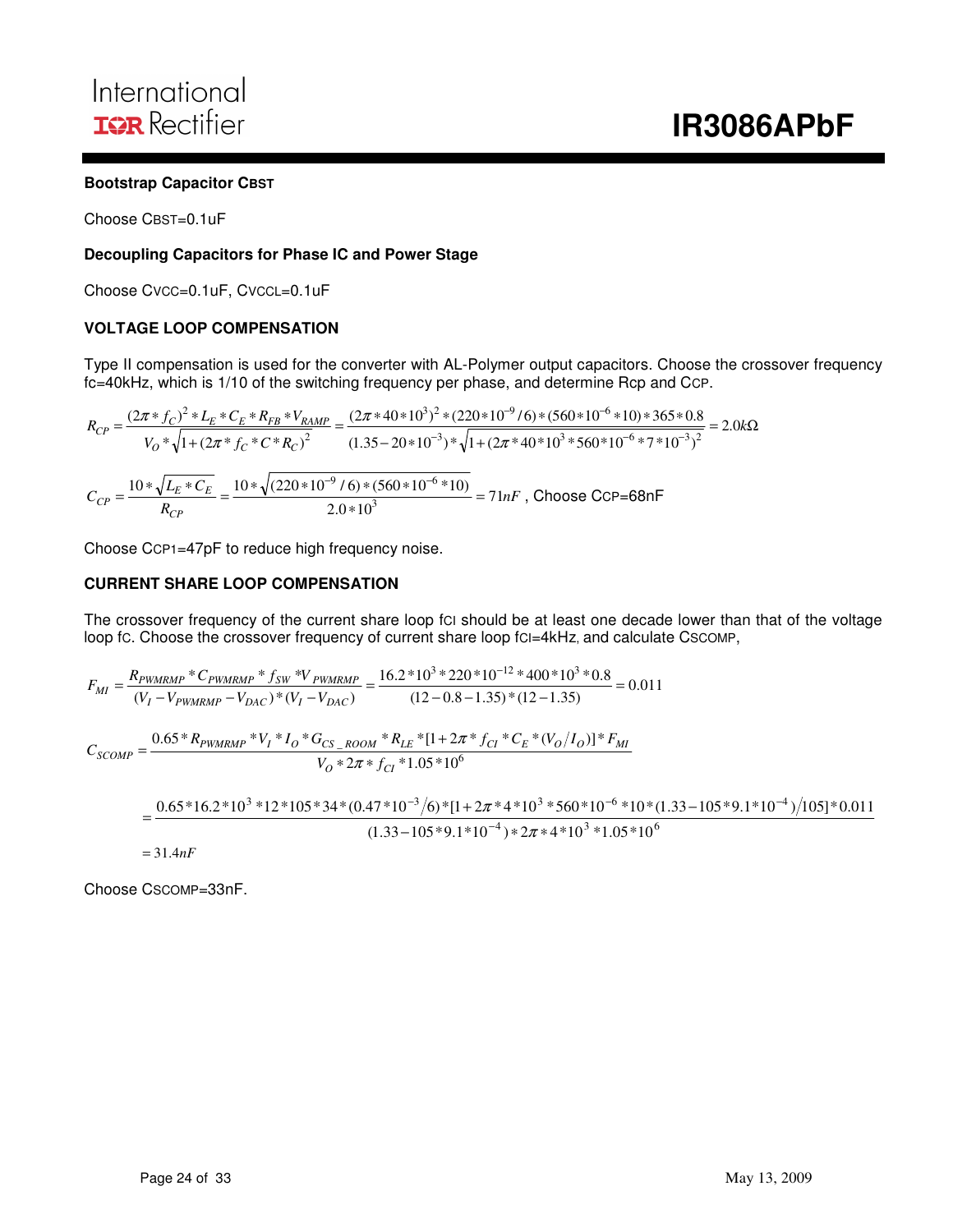#### **Bootstrap Capacitor CBST**

Choose CBST=0.1uF

#### **Decoupling Capacitors for Phase IC and Power Stage**

Choose CVCC=0.1uF, CVCCL=0.1uF

#### **VOLTAGE LOOP COMPENSATION**

Type II compensation is used for the converter with AL-Polymer output capacitors. Choose the crossover frequency fc=40kHz, which is 1/10 of the switching frequency per phase, and determine Rcp and CCP.

$$
R_{CP} = \frac{(2\pi * f_C)^2 * L_E * C_E * R_{FB} * V_{RAMP}}{V_O * \sqrt{1 + (2\pi * f_C * C * R_C)^2}} = \frac{(2\pi * 40 * 10^3)^2 * (220 * 10^{-9} / 6) * (560 * 10^{-6} * 10) * 365 * 0.8}{(1.35 - 20 * 10^{-3}) * \sqrt{1 + (2\pi * 40 * 10^3 * 560 * 10^{-6} * 7 * 10^{-3})^2}} = 2.0k\Omega
$$
  

$$
C_{CP} = \frac{10 * \sqrt{L_E * C_E}}{R_{CP}} = \frac{10 * \sqrt{(220 * 10^{-9} / 6) * (560 * 10^{-6} * 10)}}{2.0 * 10^3} = 71nF
$$
, Choose CCP=68nF

Choose CCP1=47pF to reduce high frequency noise.

#### **CURRENT SHARE LOOP COMPENSATION**

The crossover frequency of the current share loop fci should be at least one decade lower than that of the voltage loop fc. Choose the crossover frequency of current share loop fcI=4kHz, and calculate CSCOMP,

$$
F_{MI} = \frac{R_{PWMRMP} * C_{PWMRMP} * f_{SW} * V_{PWMRMP}}{(V_I - V_{PWMRMP} - V_{DAC}) * (V_I - V_{DAC})}) = \frac{16.2 * 10^3 * 220 * 10^{-12} * 400 * 10^3 * 0.8}{(12 - 0.8 - 1.35) * (12 - 1.35)} = 0.011
$$
  

$$
C_{SCOMP} = \frac{0.65 * R_{PWMRMP} * V_I * I_O * G_{CS\_ROOM} * R_{LE} * [1 + 2\pi * f_{CI} * C_E * (V_O/I_O)] * F_{MI}}{V_O * 2\pi * f_{CI} * 1.05 * 10^6}
$$
  

$$
= \frac{0.65 * 16.2 * 10^3 * 12 * 105 * 34 * (0.47 * 10^{-3} / 6) * [1 + 2\pi * 4 * 10^3 * 560 * 10^{-6} * 10 * (1.33 - 105 * 9.1 * 10^{-4}) / 105] * 0.011}{(1.33 - 105 * 9.1 * 10^{-4}) * 2\pi * 4 * 10^3 * 1.05 * 10^6}
$$
  

$$
= 31.4 nF
$$

Choose CSCOMP=33nF.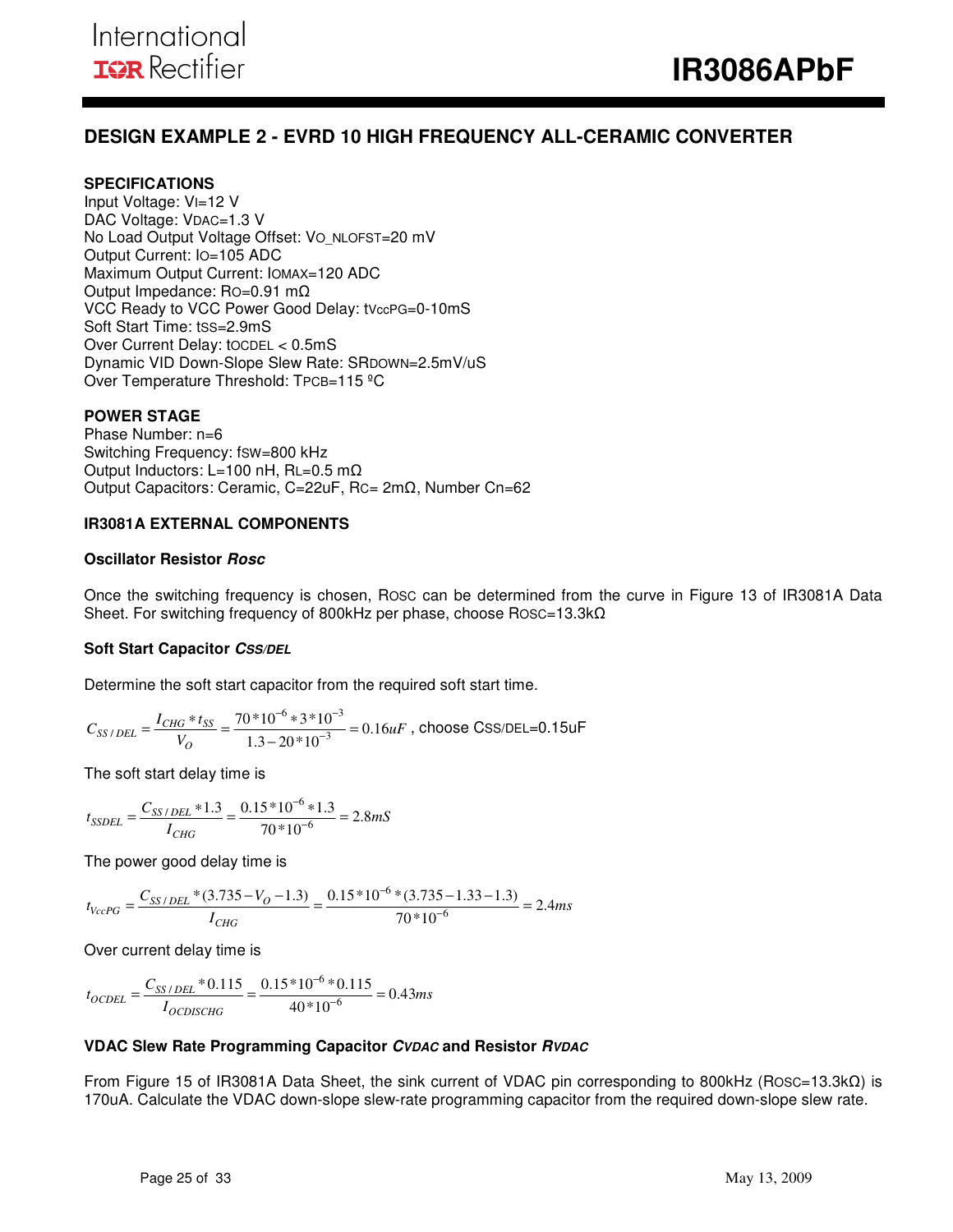## **DESIGN EXAMPLE 2 - EVRD 10 HIGH FREQUENCY ALL-CERAMIC CONVERTER**

#### **SPECIFICATIONS**

Input Voltage: VI=12 V DAC Voltage: VDAC=1.3 V No Load Output Voltage Offset: Vo\_NLOFST=20 mV Output Current: IO=105 ADC Maximum Output Current: IOMAX=120 ADC Output Impedance: RO=0.91 mΩ VCC Ready to VCC Power Good Delay: tVccPG=0-10mS Soft Start Time: tSS=2.9mS Over Current Delay: tOCDEL < 0.5mS Dynamic VID Down-Slope Slew Rate: SRDOWN=2.5mV/uS Over Temperature Threshold: TPCB=115 ºC

#### **POWER STAGE**

Phase Number: n=6 Switching Frequency: fSW=800 kHz Output Inductors: L=100 nH, RL=0.5 mΩ Output Capacitors: Ceramic, C=22uF, RC= 2mΩ, Number Cn=62

#### **IR3081A EXTERNAL COMPONENTS**

#### **Oscillator Resistor Rosc**

Once the switching frequency is chosen, ROSC can be determined from the curve in Figure 13 of IR3081A Data Sheet. For switching frequency of 800kHz per phase, choose Rosc=13.3kΩ

#### **Soft Start Capacitor CSS/DEL**

Determine the soft start capacitor from the required soft start time.

$$
C_{SS/DEL} = \frac{I_{CHG} * t_{SS}}{V_O} = \frac{70 * 10^{-6} * 3 * 10^{-3}}{1.3 - 20 * 10^{-3}} = 0.16 uF
$$
, choose CSS/DEL=0.15uF

The soft start delay time is

$$
t_{SSDEL} = \frac{C_{SS/DEL} * 1.3}{I_{CHG}} = \frac{0.15 * 10^{-6} * 1.3}{70 * 10^{-6}} = 2.8 mS
$$

The power good delay time is

$$
t_{VccPG} = \frac{C_{SS/DEL} * (3.735 - V_O - 1.3)}{I_{CHG}} = \frac{0.15 * 10^{-6} * (3.735 - 1.33 - 1.3)}{70 * 10^{-6}} = 2.4ms
$$

Over current delay time is

$$
t_{OCDEL} = \frac{C_{SS/DEL} * 0.115}{I_{OCDISCHG}} = \frac{0.15 * 10^{-6} * 0.115}{40 * 10^{-6}} = 0.43 ms
$$

#### **VDAC Slew Rate Programming Capacitor CVDAC and Resistor RVDAC**

From Figure 15 of IR3081A Data Sheet, the sink current of VDAC pin corresponding to 800kHz (ROSC=13.3kΩ) is 170uA. Calculate the VDAC down-slope slew-rate programming capacitor from the required down-slope slew rate.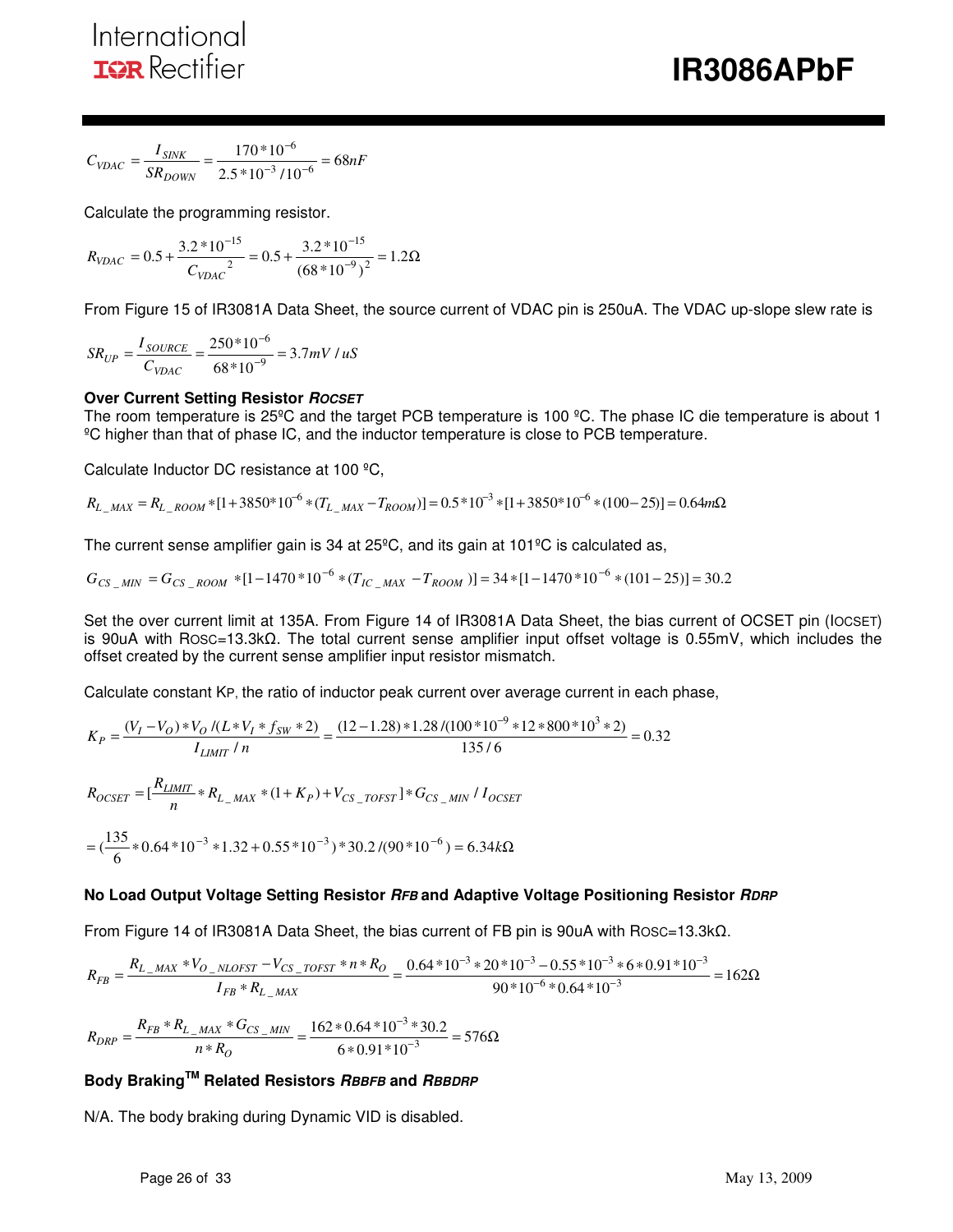$$
C_{VDAC} = \frac{I_{SINK}}{SR_{DOWN}} = \frac{170 * 10^{-6}}{2.5 * 10^{-3} / 10^{-6}} = 68 nF
$$

Calculate the programming resistor.

$$
R_{VDAC} = 0.5 + \frac{3.2 * 10^{-15}}{C_{VDAC}^2} = 0.5 + \frac{3.2 * 10^{-15}}{(68 * 10^{-9})^2} = 1.2 \Omega
$$

From Figure 15 of IR3081A Data Sheet, the source current of VDAC pin is 250uA. The VDAC up-slope slew rate is

$$
SR_{UP} = \frac{I_{SOURCE}}{C_{VDAC}} = \frac{250*10^{-6}}{68*10^{-9}} = 3.7mV / uS
$$

### **Over Current Setting Resistor ROCSET**

The room temperature is 25<sup>°</sup>C and the target PCB temperature is 100 <sup>°</sup>C. The phase IC die temperature is about 1 ºC higher than that of phase IC, and the inductor temperature is close to PCB temperature.

Calculate Inductor DC resistance at 100 ºC,

 $R_{L_{MAX}} = R_{L_{ROM}} * [1 + 3850 * 10^{-6} * (T_{L_{MAX}} - T_{ROM})] = 0.5 * 10^{-3} * [1 + 3850 * 10^{-6} * (100 - 25)] = 0.64 m\Omega$ 

The current sense amplifier gain is 34 at 25ºC, and its gain at 101ºC is calculated as,

$$
G_{CS\_MIN} = G_{CS\_Room} * [1 - 1470 * 10^{-6} * (T_{IC\_MAX} - T_{ROM})] = 34 * [1 - 1470 * 10^{-6} * (101 - 25)] = 30.2
$$

Set the over current limit at 135A. From Figure 14 of IR3081A Data Sheet, the bias current of OCSET pin (IOCSET) is 90uA with ROSC=13.3kΩ. The total current sense amplifier input offset voltage is 0.55mV, which includes the offset created by the current sense amplifier input resistor mismatch.

Calculate constant KP, the ratio of inductor peak current over average current in each phase,

$$
K_P = \frac{(V_I - V_O) * V_O / (L * V_I * f_{SW} * 2)}{I_{LIMIT} / n} = \frac{(12 - 1.28) * 1.28 / (100 * 10^{-9} * 12 * 800 * 10^3 * 2)}{135 / 6} = 0.32
$$
  

$$
R_{OCSET} = \left[\frac{R_{LIMIT}}{n} * R_{L\_MAX} * (1 + K_P) + V_{CS\_TOFST}\right] * G_{CS\_MIN} / I_{OCSET}
$$
  

$$
= \left(\frac{135}{6} * 0.64 * 10^{-3} * 1.32 + 0.55 * 10^{-3}\right) * 30.2 / (90 * 10^{-6}) = 6.34 k\Omega
$$

#### **No Load Output Voltage Setting Resistor RFB and Adaptive Voltage Positioning Resistor RDRP**

From Figure 14 of IR3081A Data Sheet, the bias current of FB pin is 90uA with ROSC=13.3kΩ.

$$
R_{FB} = \frac{R_{L\_MAX} * V_{O\_NLOFST} - V_{CS\_TOFST} * n * R_O}{I_{FB} * R_{L\_MAX}} = \frac{0.64 * 10^{-3} * 20 * 10^{-3} - 0.55 * 10^{-3} * 6 * 0.91 * 10^{-3}}{90 * 10^{-6} * 0.64 * 10^{-3}} = 162 \Omega
$$

$$
R_{DRP} = \frac{R_{FB} * R_{L\_MAX} * G_{CS\_MIN}}{n * R_O} = \frac{162 * 0.64 * 10^{-3} * 30.2}{6 * 0.91 * 10^{-3}} = 576 \Omega
$$

### **Body BrakingTM Related Resistors RBBFB and RBBDRP**

N/A. The body braking during Dynamic VID is disabled.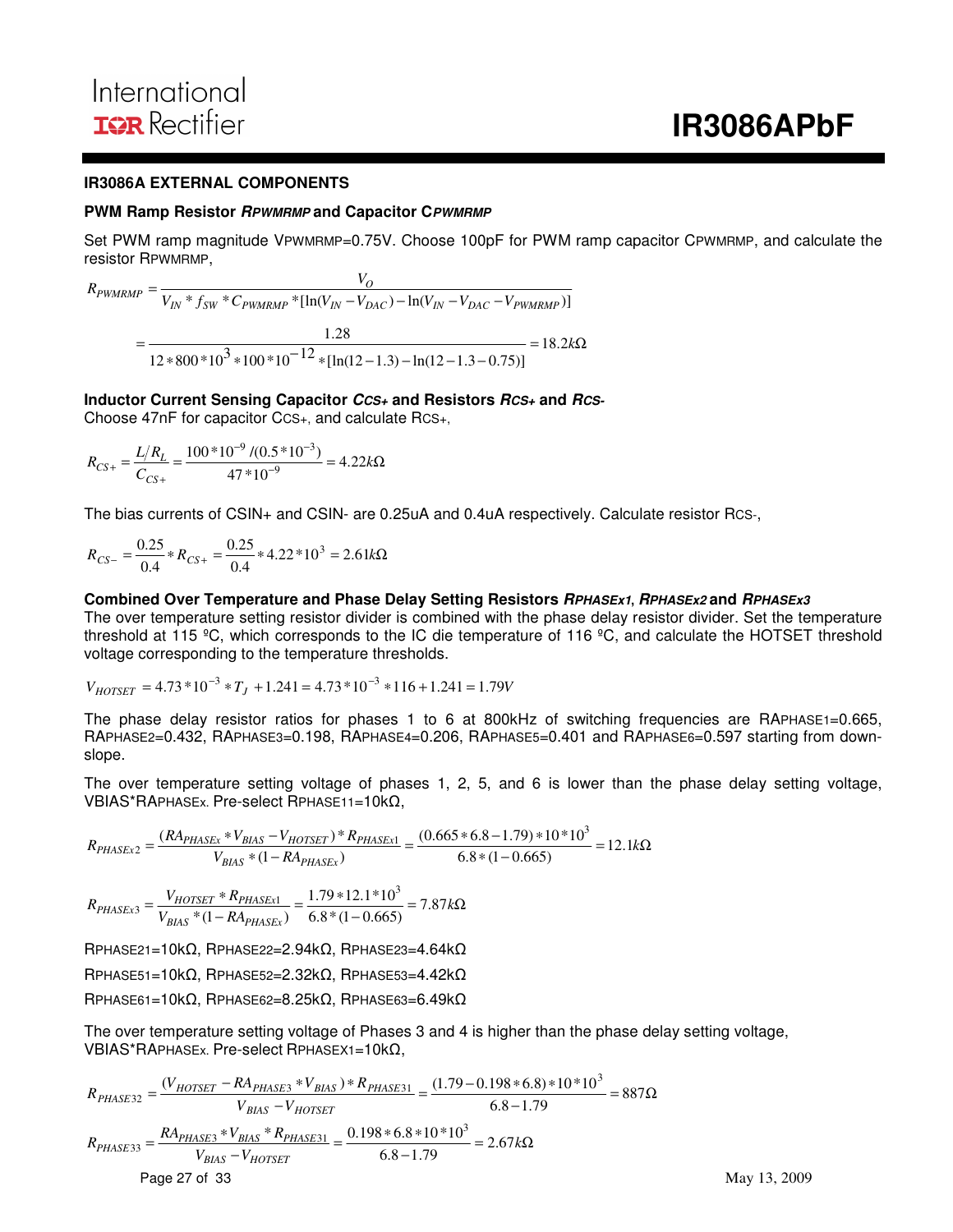May 13, 2009

#### **IR3086A EXTERNAL COMPONENTS**

#### **PWM Ramp Resistor RPWMRMP and Capacitor CPWMRMP**

Set PWM ramp magnitude VPWMRMP=0.75V. Choose 100pF for PWM ramp capacitor CPWMRMP, and calculate the resistor RPWMRMP,

 $N_{IN}$   $*$   $f_{SW}$   $*$   $C_{PWMRMP}$   $*$   $[\ln(V_{IN} - V_{DAC}) - \ln(V_{IN} - V_{DAC} - V_{PWMRMP})]$  $\frac{V_O}{V_{IN} * f_{SW} * C_{PWMRMP} * [\ln(V_{IN} - V_{DAC}) - \ln(V_{IN} - V_{DAC} - V_{IM})]}$  $R_{\text{PWMRMP}} = \frac{V_O}{V_{IN} * f_{SW} * C_{\text{PWMRMP}} * [\ln(V_{IN} - V_{DAC}) - \ln(V_{IN} - V_{DAC})]}$  $=$   $\frac{1.28}{2}$   $=$   $18.2k\Omega$  $*800 * 10^3 * 100 * 10^{-12} * [ln(12-1.3) - ln(12-1.3 =\frac{12}{12*800*10^3*100*10^{-12}*[ln(12-1.3)-ln(12-1.3-0.75)]}=18.2k$ 28.1

#### **Inductor Current Sensing Capacitor CCS+ and Resistors RCS+ and RCS-**

Choose 47nF for capacitor CCS+, and calculate RCS+,

$$
R_{CS+} = \frac{L/R_L}{C_{CS+}} = \frac{100*10^{-9} / (0.5*10^{-3})}{47*10^{-9}} = 4.22k\Omega
$$

The bias currents of CSIN+ and CSIN- are 0.25uA and 0.4uA respectively. Calculate resistor RCS-,

$$
R_{CS-} = \frac{0.25}{0.4} * R_{CS+} = \frac{0.25}{0.4} * 4.22 * 10^3 = 2.61 \text{k}\Omega
$$

#### **Combined Over Temperature and Phase Delay Setting Resistors RPHASEx1, RPHASEx2 and RPHASEx3**

The over temperature setting resistor divider is combined with the phase delay resistor divider. Set the temperature threshold at 115 ºC, which corresponds to the IC die temperature of 116 ºC, and calculate the HOTSET threshold voltage corresponding to the temperature thresholds.

$$
V_{HOTSET} = 4.73 * 10^{-3} * T_J + 1.241 = 4.73 * 10^{-3} * 116 + 1.241 = 1.79V
$$

The phase delay resistor ratios for phases 1 to 6 at 800kHz of switching frequencies are RAPHASE1=0.665, RAPHASE2=0.432, RAPHASE3=0.198, RAPHASE4=0.206, RAPHASE5=0.401 and RAPHASE6=0.597 starting from downslope.

The over temperature setting voltage of phases 1, 2, 5, and 6 is lower than the phase delay setting voltage, VBIAS\*RAPHASEx. Pre-select RPHASE11=10kΩ,

$$
R_{PHASEx2}=\frac{(RA_{PHASEx}*V_{BIAS}-V_{HOTSET})*R_{PHASEx1}}{V_{BIAS}*(1-RA_{PHASEx})}=\frac{(0.665*6.8-1.79)*10*10^3}{6.8*(1-0.665)}=12.1k\Omega
$$

 $\frac{24.148}{-0.665}$  = 7.87kΩ  $\frac{*R_{PHASEx1}}{-RA_{PHASEx}} = \frac{1.79*}{6.8*(}$  $=\frac{V_{HOTSET} * R_{PHASEx1}}{V_{BIAS} * (1 - RA_{PHASEx1}} = \frac{1.79 * 12.1 * 10^3}{6.8 * (1 - 0.665)} = 7.87 k$  $R_{PHASEx3} = \frac{V_{HOTSET} * R}{V}$  $BIAS$   $(1 - NPHASEx)$  $HASEx3 = \frac{VHOTSET \cdot NPHASEx1}{V_{BIAS} * (1 - R A_{PHASEx})} = \frac{1.79 * 12.1 * 10}{6.8 * (1 - 0.665)} = 7.87$  $1.79 * 12.1 * 10$  $*(1 - RA_{PHASEx})$  $\frac{V_{HOTSET} * R_{PHASEx1}}{V_{X} * (1 - PA)} = \frac{1.79 * 12.1 * 10^3}{6.8 * (1 - 0.665)}$ 

RPHASE21=10kΩ, RPHASE22=2.94kΩ, RPHASE23=4.64kΩ

RPHASE51=10kΩ, RPHASE52=2.32kΩ, RPHASE53=4.42kΩ

RPHASE61=10kΩ, RPHASE62=8.25kΩ, RPHASE63=6.49kΩ

The over temperature setting voltage of Phases 3 and 4 is higher than the phase delay setting voltage, VBIAS\*RAPHASEx. Pre-select RPHASEX1=10kΩ,

$$
R_{PHASE32} = \frac{(V_{HOTSET} - R A_{PHASE3} * V_{BIAS}) * R_{PHASE31}}{V_{BIAS} - V_{HOTSET}} = \frac{(1.79 - 0.198 * 6.8) * 10 * 10^3}{6.8 - 1.79} = 887 \Omega
$$
  
\n
$$
R_{PHASE33} = \frac{R A_{PHASE3} * V_{BIAS} * R_{PHASE31}}{V_{BIAS} - V_{HOTSET}} = \frac{0.198 * 6.8 * 10 * 10^3}{6.8 - 1.79} = 2.67 k \Omega
$$
  
\nPage 27 of 33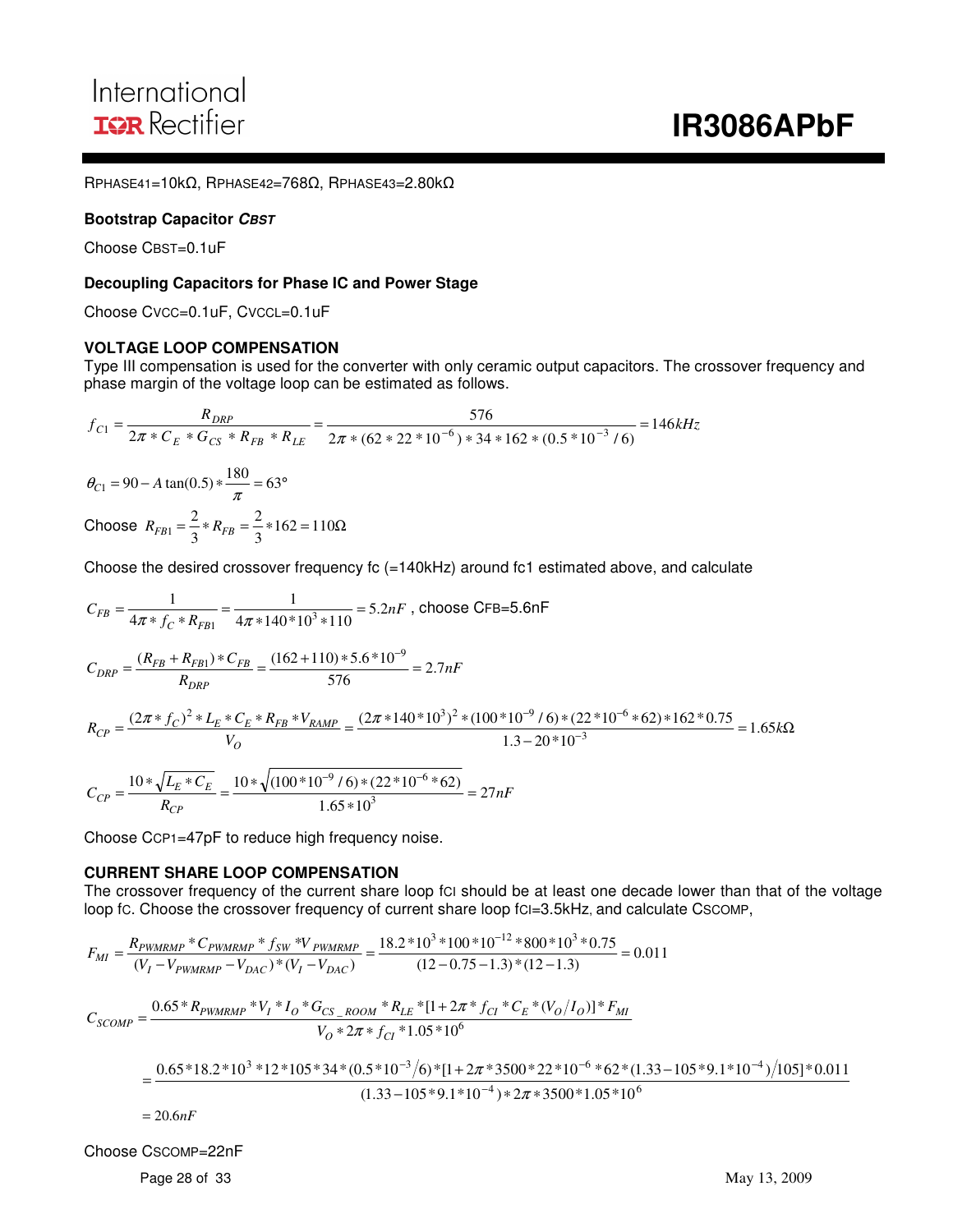RPHASE41=10kΩ, RPHASE42=768Ω, RPHASE43=2.80kΩ

#### **Bootstrap Capacitor CBST**

Choose CBST=0.1uF

#### **Decoupling Capacitors for Phase IC and Power Stage**

Choose CVCC=0.1uF, CVCCL=0.1uF

#### **VOLTAGE LOOP COMPENSATION**

Type III compensation is used for the converter with only ceramic output capacitors. The crossover frequency and phase margin of the voltage loop can be estimated as follows.

$$
f_{C1} = \frac{R_{DRP}}{2\pi * C_E * G_{CS} * R_{FB} * R_{LE}} = \frac{576}{2\pi * (62 * 22 * 10^{-6}) * 34 * 162 * (0.5 * 10^{-3} / 6)} = 146kHz
$$
  
\n
$$
\theta_{C1} = 90 - A \tan(0.5) * \frac{180}{\pi} = 63^{\circ}
$$
  
\nChoose  $R_{FB1} = \frac{2}{3} * R_{FB} = \frac{2}{3} * 162 = 110\Omega$ 

Choose the desired crossover frequency fc (=140kHz) around fc1 estimated above, and calculate

$$
C_{FB} = \frac{1}{4\pi * f_C * R_{FB1}} = \frac{1}{4\pi * 140 * 10^3 * 110} = 5.2nF
$$
, choose CFB=5.6nF  
\n
$$
C_{DRP} = \frac{(R_{FB} + R_{FB1}) * C_{FB}}{R_{DRP}} = \frac{(162 + 110) * 5.6 * 10^{-9}}{576} = 2.7nF
$$
  
\n
$$
R_{CP} = \frac{(2\pi * f_C)^2 * L_E * C_E * R_{FB} * V_{RAMP}}{V_O} = \frac{(2\pi * 140 * 10^3)^2 * (100 * 10^{-9} / 6) * (22 * 10^{-6} * 62) * 162 * 0.75}{1.3 - 20 * 10^{-3}} = 1.65k\Omega
$$
  
\n
$$
C_{CP} = \frac{10 * \sqrt{L_E * C_E}}{R_{CP}} = \frac{10 * \sqrt{(100 * 10^{-9} / 6) * (22 * 10^{-6} * 62)}}{1.65 * 10^3} = 27nF
$$

Choose CCP1=47pF to reduce high frequency noise.

#### **CURRENT SHARE LOOP COMPENSATION**

The crossover frequency of the current share loop fci should be at least one decade lower than that of the voltage loop fc. Choose the crossover frequency of current share loop fcI=3.5kHz, and calculate CSCOMP,

 $\frac{10^{10} \cdot 10^{10}}{(12-0.75-1.3)*(12-1.3)} = 0.011$  $18.2 * 10^3 * 100 * 10^{-12} * 800 * 10^3 * 0.75$  $(V_I - V_{PWMRMP} - V_{DAC}) * (V_I - V_{DAC})$ \*  $C_{\text{PWMRMP}}$  \*  $f_{SW}$  \*V  $_{\text{PWMRMP}}$  = 18.2 \* 10<sup>3</sup> \* 100 \* 10<sup>-12</sup> \* 800 \* 10<sup>3</sup>  $=\frac{N_{FWMKMP} - V_{FWMKMP} - V_{SN} + V_{FWMKMP}}{(V_I - V_{FWMRMP} - V_{DAC}) * (V_I - V_{DAC})} = \frac{10.2 \times 10^{-100} \times 10^{-100} \times 10^{-100} \times 10^{-100}}{(12 - 0.75 - 1.3) * (12 - 1.3)}$ −  $I = V$ PWMRMP  $= V$ DAC<sup> $J$ </sup>  $(VI = V$ DAC  $P_{MI} = \frac{R_{PWMRMP} - Q_{PWMRMP} - Y_{SW} - P_{PWMRMP}}{(V_I - V_{PWMRMP} - V_{DAC}) * (V_I - V_{DAC})}$ *R C f V F*

$$
C_{SCOMP} = \frac{0.65 * R_{PWMRMP} * V_I * I_O * G_{CS\_ROOM} * R_{LE} * [1 + 2\pi * f_{CI} * C_E * (V_O/I_O)] * F_{MI}}{V_O * 2\pi * f_{CI} * 1.05 * 10^6}
$$
  
= 
$$
\frac{0.65 * 18.2 * 10^3 * 12 * 105 * 34 * (0.5 * 10^{-3} / 6) * [1 + 2\pi * 3500 * 22 * 10^{-6} * 62 * (1.33 - 105 * 9.1 * 10^{-4}) / 105] * 0.011}{(1.33 - 105 * 9.1 * 10^{-4}) * 2\pi * 3500 * 1.05 * 10^6}
$$

 $= 20.6 nF$ 

Choose CSCOMP=22nF

Page 28 of 33 May 13, 2009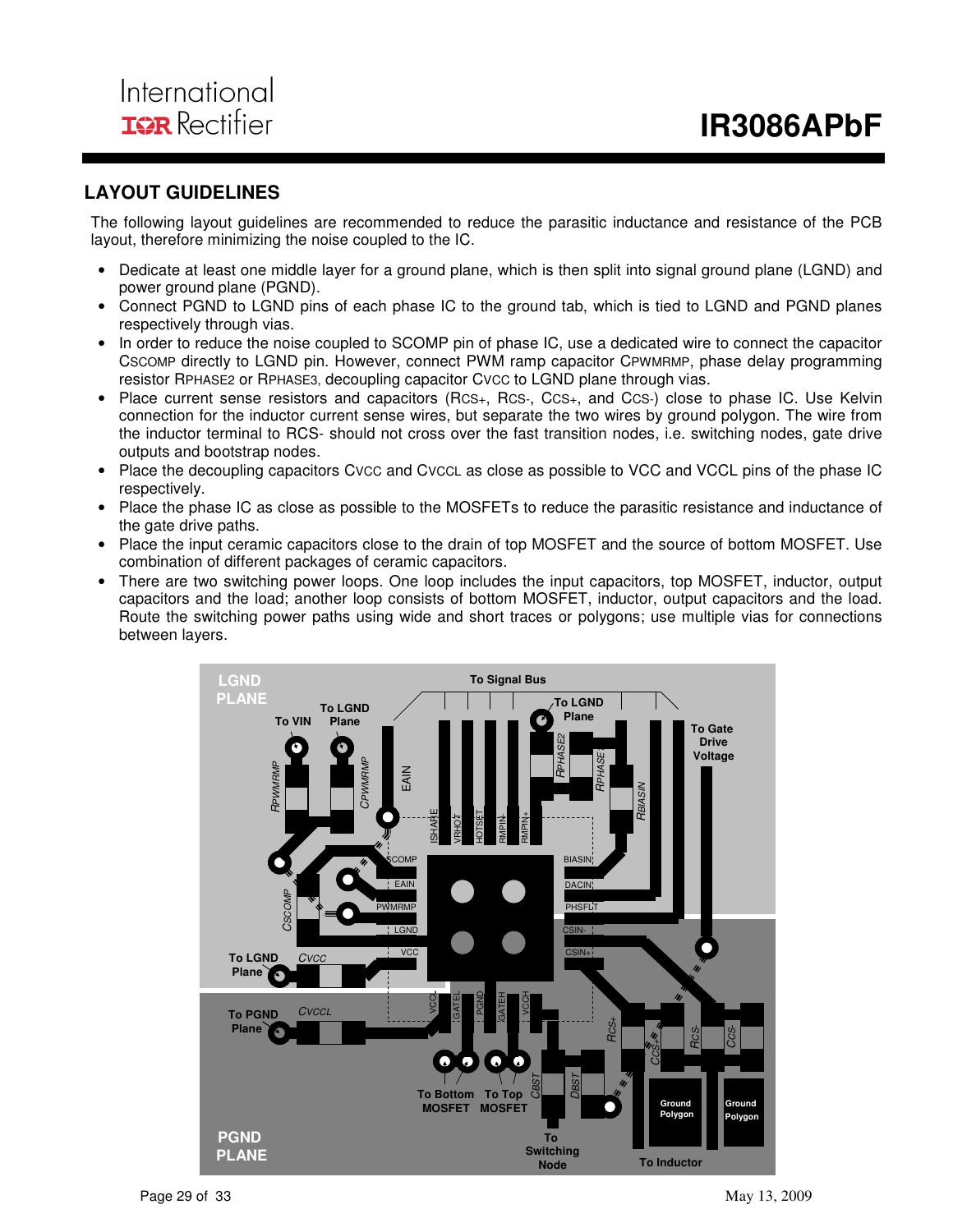## **LAYOUT GUIDELINES**

The following layout guidelines are recommended to reduce the parasitic inductance and resistance of the PCB layout, therefore minimizing the noise coupled to the IC.

- Dedicate at least one middle layer for a ground plane, which is then split into signal ground plane (LGND) and power ground plane (PGND).
- Connect PGND to LGND pins of each phase IC to the ground tab, which is tied to LGND and PGND planes respectively through vias.
- In order to reduce the noise coupled to SCOMP pin of phase IC, use a dedicated wire to connect the capacitor CSCOMP directly to LGND pin. However, connect PWM ramp capacitor CPWMRMP, phase delay programming resistor RPHASE2 or RPHASE3, decoupling capacitor CVCC to LGND plane through vias.
- Place current sense resistors and capacitors (RCS+, RCS-, CCS+, and CCS-) close to phase IC. Use Kelvin connection for the inductor current sense wires, but separate the two wires by ground polygon. The wire from the inductor terminal to RCS- should not cross over the fast transition nodes, i.e. switching nodes, gate drive outputs and bootstrap nodes.
- Place the decoupling capacitors Cvcc and CvccL as close as possible to VCC and VCCL pins of the phase IC respectively.
- Place the phase IC as close as possible to the MOSFETs to reduce the parasitic resistance and inductance of the gate drive paths.
- Place the input ceramic capacitors close to the drain of top MOSFET and the source of bottom MOSFET. Use combination of different packages of ceramic capacitors.
- There are two switching power loops. One loop includes the input capacitors, top MOSFET, inductor, output capacitors and the load; another loop consists of bottom MOSFET, inductor, output capacitors and the load. Route the switching power paths using wide and short traces or polygons; use multiple vias for connections between layers.

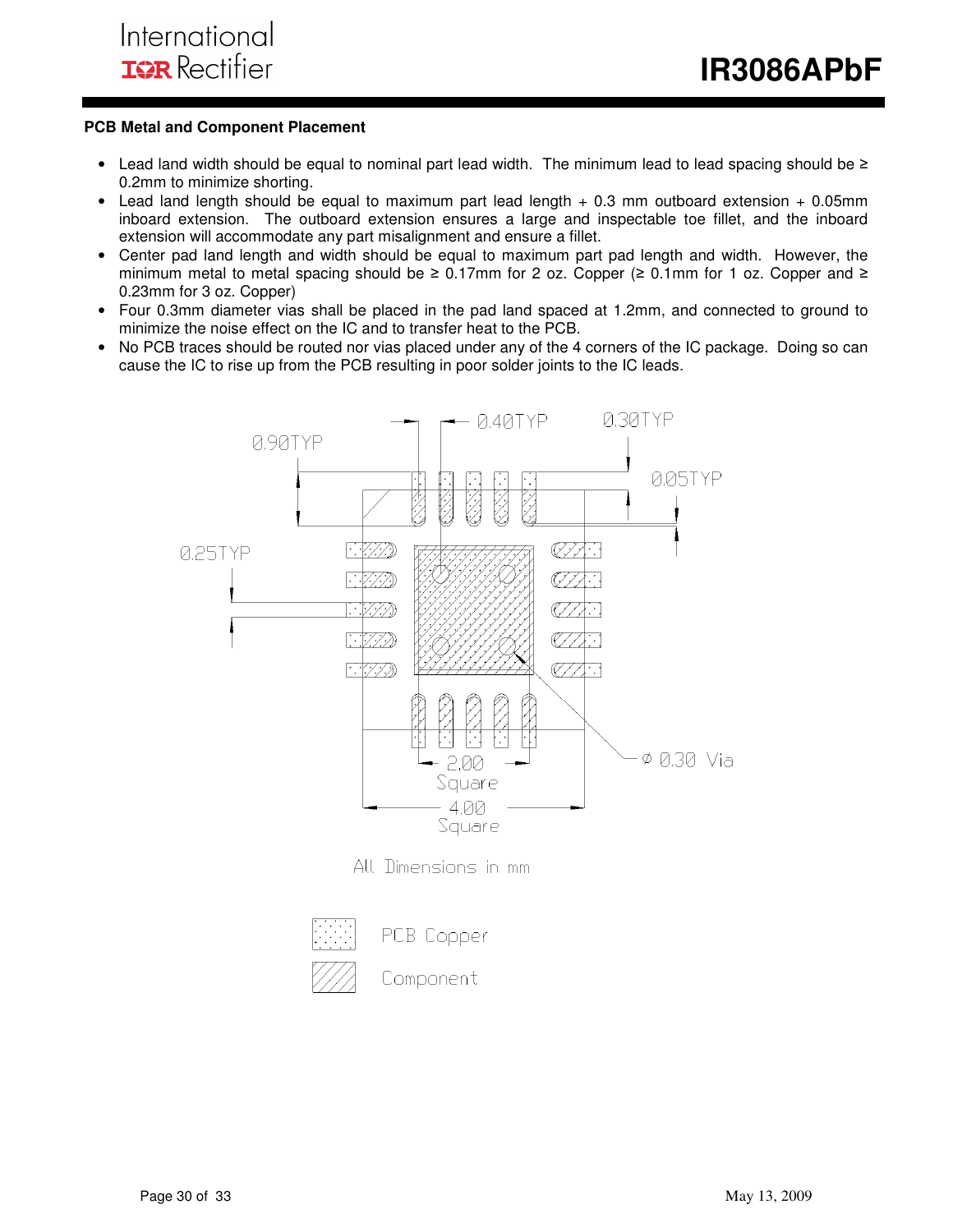#### **PCB Metal and Component Placement**

- Lead land width should be equal to nominal part lead width. The minimum lead to lead spacing should be ≥ 0.2mm to minimize shorting.
- Lead land length should be equal to maximum part lead length  $+0.3$  mm outboard extension  $+0.05$ mm inboard extension. The outboard extension ensures a large and inspectable toe fillet, and the inboard extension will accommodate any part misalignment and ensure a fillet.
- Center pad land length and width should be equal to maximum part pad length and width. However, the minimum metal to metal spacing should be ≥ 0.17mm for 2 oz. Copper (≥ 0.1mm for 1 oz. Copper and ≥ 0.23mm for 3 oz. Copper)
- Four 0.3mm diameter vias shall be placed in the pad land spaced at 1.2mm, and connected to ground to minimize the noise effect on the IC and to transfer heat to the PCB.
- No PCB traces should be routed nor vias placed under any of the 4 corners of the IC package. Doing so can cause the IC to rise up from the PCB resulting in poor solder joints to the IC leads.



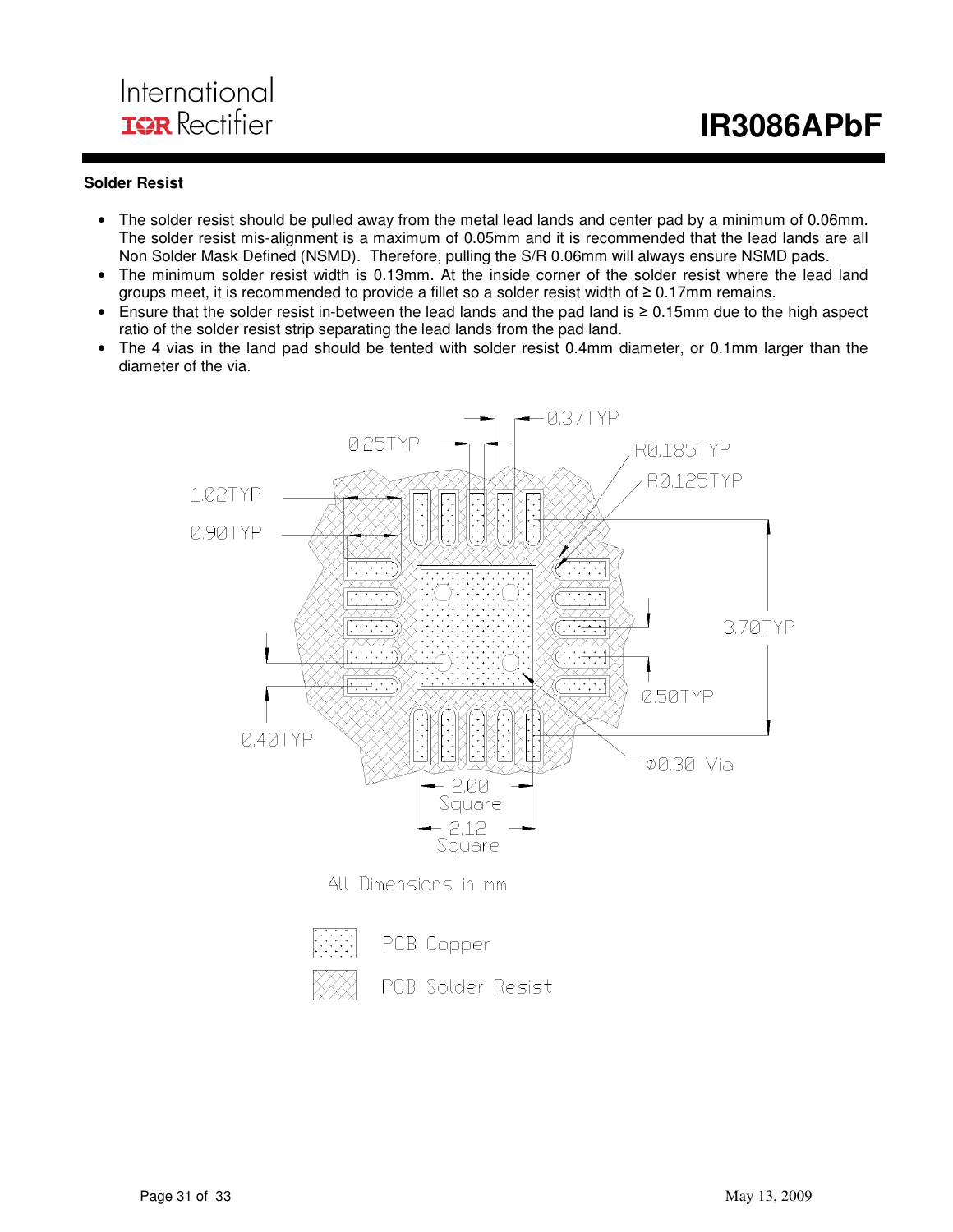## International **IGR** Rectifier

#### **Solder Resist**

- The solder resist should be pulled away from the metal lead lands and center pad by a minimum of 0.06mm. The solder resist mis-alignment is a maximum of 0.05mm and it is recommended that the lead lands are all Non Solder Mask Defined (NSMD). Therefore, pulling the S/R 0.06mm will always ensure NSMD pads.
- The minimum solder resist width is 0.13mm. At the inside corner of the solder resist where the lead land groups meet, it is recommended to provide a fillet so a solder resist width of  $\geq 0.17$ mm remains.
- Ensure that the solder resist in-between the lead lands and the pad land is ≥ 0.15mm due to the high aspect ratio of the solder resist strip separating the lead lands from the pad land.
- The 4 vias in the land pad should be tented with solder resist 0.4mm diameter, or 0.1mm larger than the diameter of the via.



All Dimensions in mm

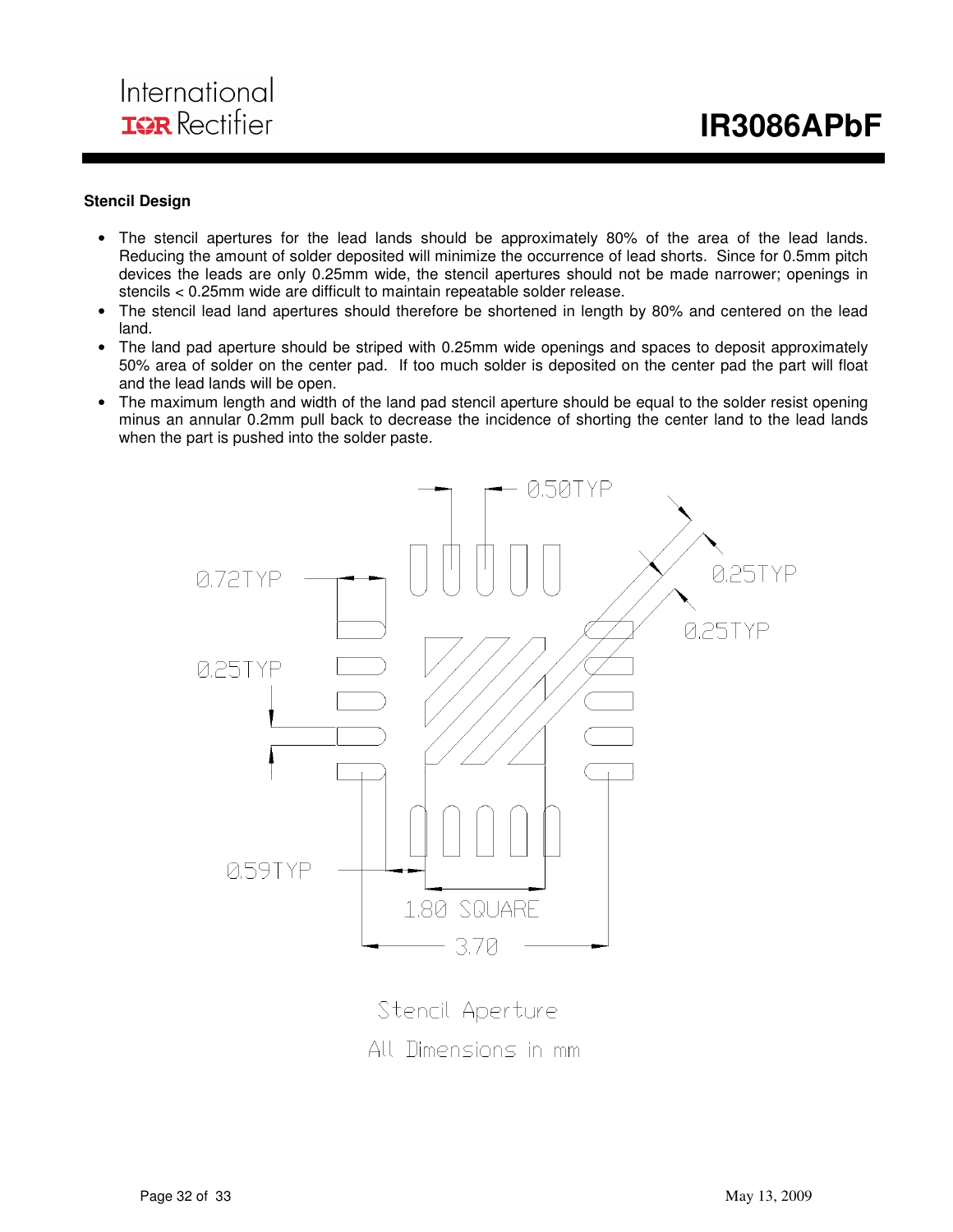#### **Stencil Design**

- The stencil apertures for the lead lands should be approximately 80% of the area of the lead lands. Reducing the amount of solder deposited will minimize the occurrence of lead shorts. Since for 0.5mm pitch devices the leads are only 0.25mm wide, the stencil apertures should not be made narrower; openings in stencils < 0.25mm wide are difficult to maintain repeatable solder release.
- The stencil lead land apertures should therefore be shortened in length by 80% and centered on the lead land.
- The land pad aperture should be striped with 0.25mm wide openings and spaces to deposit approximately 50% area of solder on the center pad. If too much solder is deposited on the center pad the part will float and the lead lands will be open.
- The maximum length and width of the land pad stencil aperture should be equal to the solder resist opening minus an annular 0.2mm pull back to decrease the incidence of shorting the center land to the lead lands when the part is pushed into the solder paste.



Stencil Aperture All Dimensions in mm